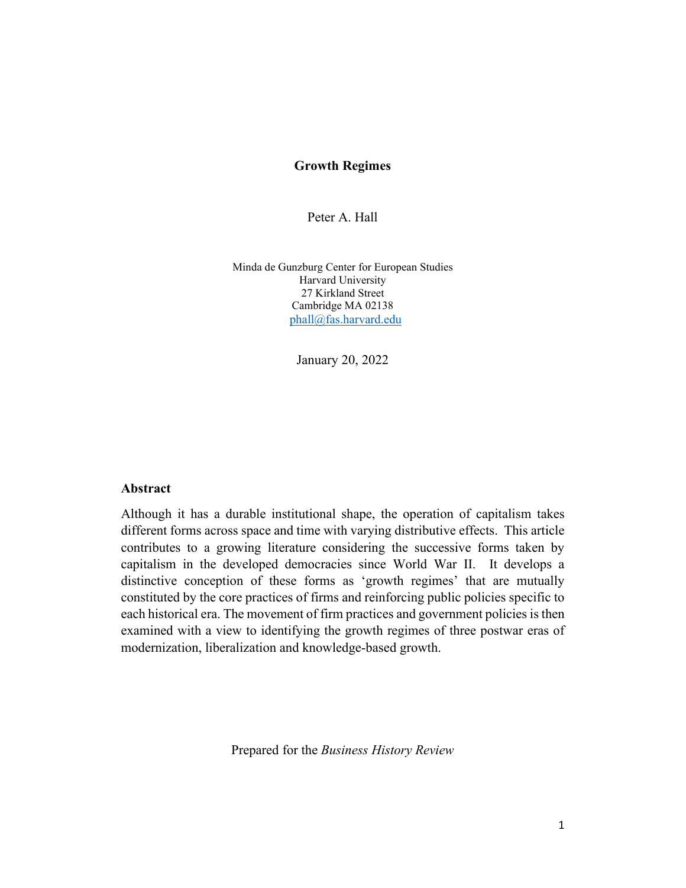## **Growth Regimes**

Peter A. Hall

Minda de Gunzburg Center for European Studies Harvard University 27 Kirkland Street Cambridge MA 02138  [phall@fas.harvard.edu](mailto:phall@fas.harvard.edu)

January 20, 2022

#### **Abstract**

Although it has a durable institutional shape, the operation of capitalism takes different forms across space and time with varying distributive effects. This article contributes to a growing literature considering the successive forms taken by capitalism in the developed democracies since World War II. It develops a distinctive conception of these forms as 'growth regimes' that are mutually constituted by the core practices of firms and reinforcing public policies specific to each historical era. The movement of firm practices and government policies is then examined with a view to identifying the growth regimes of three postwar eras of modernization, liberalization and knowledge-based growth.

Prepared for the *Business History Review*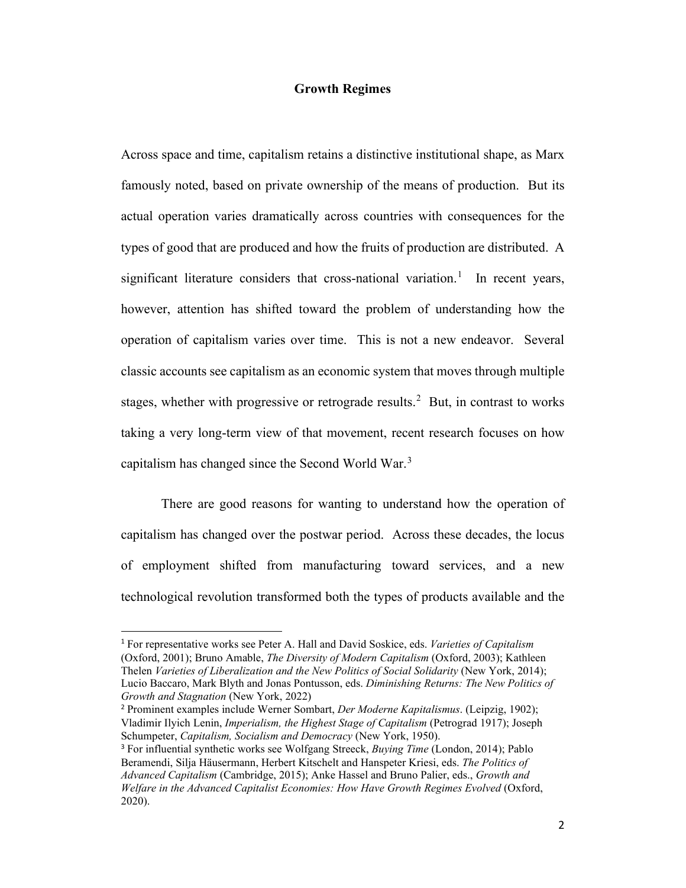#### **Growth Regimes**

Across space and time, capitalism retains a distinctive institutional shape, as Marx famously noted, based on private ownership of the means of production. But its actual operation varies dramatically across countries with consequences for the types of good that are produced and how the fruits of production are distributed. A significant literature considers that cross-national variation.<sup>[1](#page-1-0)</sup> In recent years, however, attention has shifted toward the problem of understanding how the operation of capitalism varies over time. This is not a new endeavor. Several classic accounts see capitalism as an economic system that moves through multiple stages, whether with progressive or retrograde results.<sup>[2](#page-1-1)</sup> But, in contrast to works taking a very long-term view of that movement, recent research focuses on how capitalism has changed since the Second World War.<sup>[3](#page-1-2)</sup>

There are good reasons for wanting to understand how the operation of capitalism has changed over the postwar period. Across these decades, the locus of employment shifted from manufacturing toward services, and a new technological revolution transformed both the types of products available and the

<span id="page-1-0"></span><sup>1</sup> For representative works see Peter A. Hall and David Soskice, eds. *Varieties of Capitalism* (Oxford, 2001); Bruno Amable, *The Diversity of Modern Capitalism* (Oxford, 2003); Kathleen Thelen *Varieties of Liberalization and the New Politics of Social Solidarity* (New York, 2014); Lucio Baccaro, Mark Blyth and Jonas Pontusson, eds. *Diminishing Returns: The New Politics of Growth and Stagnation* (New York, 2022)

<span id="page-1-1"></span><sup>2</sup> Prominent examples include Werner Sombart, *Der Moderne Kapitalismus*. (Leipzig, 1902); Vladimir Ilyich Lenin, *Imperialism, the Highest Stage of Capitalism* (Petrograd 1917); Joseph Schumpeter, *Capitalism, Socialism and Democracy* (New York, 1950).

<span id="page-1-2"></span><sup>3</sup> For influential synthetic works see Wolfgang Streeck, *Buying Time* (London, 2014); Pablo Beramendi, Silja Häusermann, Herbert Kitschelt and Hanspeter Kriesi, eds. *The Politics of Advanced Capitalism* (Cambridge, 2015); Anke Hassel and Bruno Palier, eds., *Growth and Welfare in the Advanced Capitalist Economies: How Have Growth Regimes Evolved* (Oxford, 2020).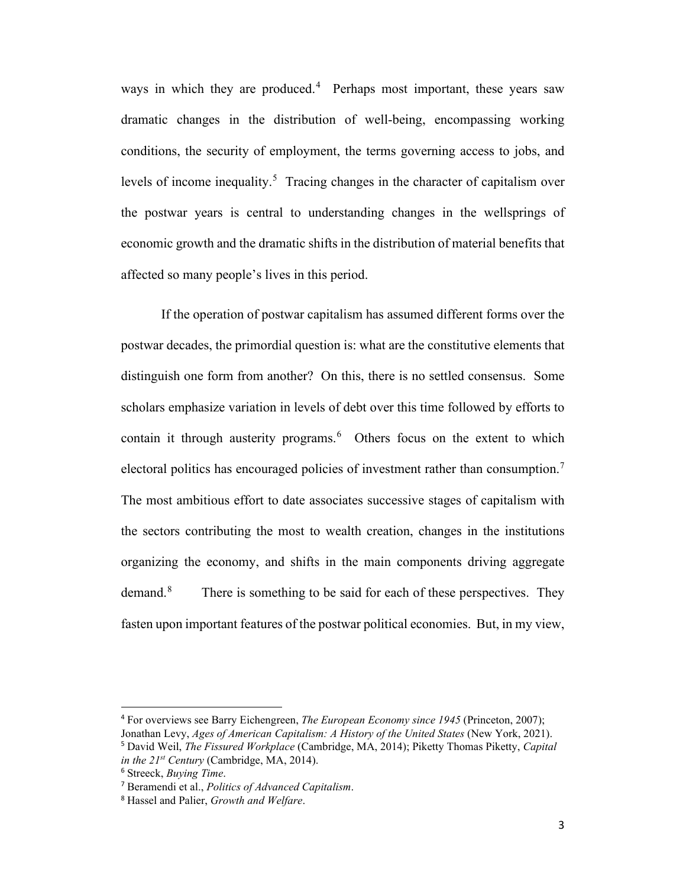ways in which they are produced.<sup>[4](#page-2-0)</sup> Perhaps most important, these years saw dramatic changes in the distribution of well-being, encompassing working conditions, the security of employment, the terms governing access to jobs, and levels of income inequality.<sup>[5](#page-2-1)</sup> Tracing changes in the character of capitalism over the postwar years is central to understanding changes in the wellsprings of economic growth and the dramatic shifts in the distribution of material benefits that affected so many people's lives in this period.

If the operation of postwar capitalism has assumed different forms over the postwar decades, the primordial question is: what are the constitutive elements that distinguish one form from another? On this, there is no settled consensus. Some scholars emphasize variation in levels of debt over this time followed by efforts to contain it through austerity programs.<sup>[6](#page-2-2)</sup> Others focus on the extent to which electoral politics has encouraged policies of investment rather than consumption.<sup>[7](#page-2-3)</sup> The most ambitious effort to date associates successive stages of capitalism with the sectors contributing the most to wealth creation, changes in the institutions organizing the economy, and shifts in the main components driving aggregate demand.<sup>[8](#page-2-4)</sup> There is something to be said for each of these perspectives. They fasten upon important features of the postwar political economies. But, in my view,

<span id="page-2-0"></span><sup>4</sup> For overviews see Barry Eichengreen, *The European Economy since 1945* (Princeton, 2007); Jonathan Levy, *Ages of American Capitalism: A History of the United States* (New York, 2021).

<span id="page-2-1"></span><sup>5</sup> David Weil, *The Fissured Workplace* (Cambridge, MA, 2014); Piketty Thomas Piketty, *Capital in the 21st Century* (Cambridge, MA, 2014).

<span id="page-2-2"></span><sup>6</sup> Streeck, *Buying Time*.

<span id="page-2-3"></span><sup>7</sup> Beramendi et al., *Politics of Advanced Capitalism*.

<span id="page-2-4"></span><sup>8</sup> Hassel and Palier, *Growth and Welfare*.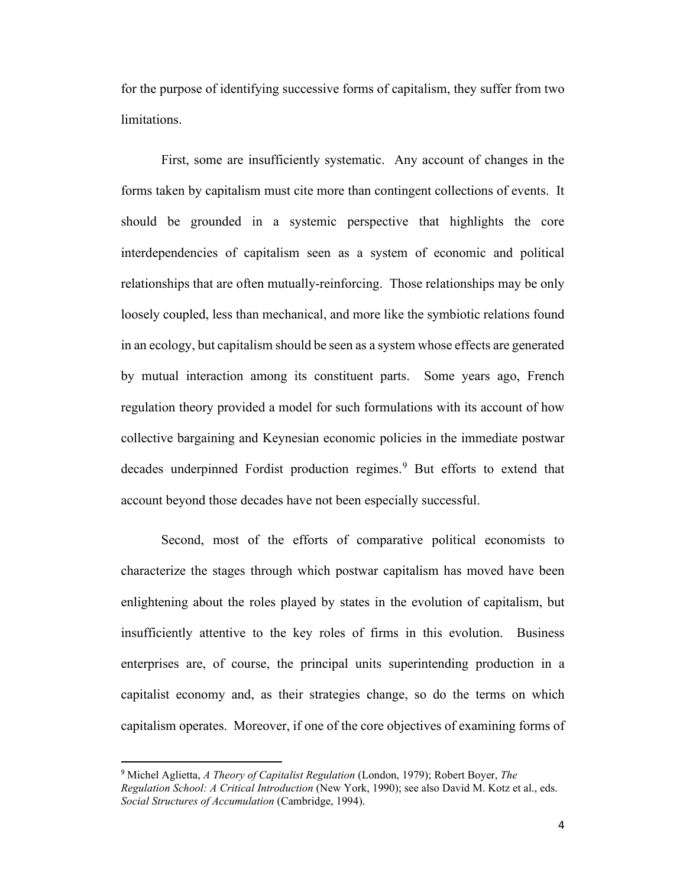for the purpose of identifying successive forms of capitalism, they suffer from two limitations.

First, some are insufficiently systematic. Any account of changes in the forms taken by capitalism must cite more than contingent collections of events. It should be grounded in a systemic perspective that highlights the core interdependencies of capitalism seen as a system of economic and political relationships that are often mutually-reinforcing. Those relationships may be only loosely coupled, less than mechanical, and more like the symbiotic relations found in an ecology, but capitalism should be seen as a system whose effects are generated by mutual interaction among its constituent parts. Some years ago, French regulation theory provided a model for such formulations with its account of how collective bargaining and Keynesian economic policies in the immediate postwar decades underpinned Fordist production regimes.<sup>[9](#page-3-0)</sup> But efforts to extend that account beyond those decades have not been especially successful.

Second, most of the efforts of comparative political economists to characterize the stages through which postwar capitalism has moved have been enlightening about the roles played by states in the evolution of capitalism, but insufficiently attentive to the key roles of firms in this evolution. Business enterprises are, of course, the principal units superintending production in a capitalist economy and, as their strategies change, so do the terms on which capitalism operates. Moreover, if one of the core objectives of examining forms of

<span id="page-3-0"></span><sup>9</sup> Michel Aglietta, *A Theory of Capitalist Regulation* (London, 1979); Robert Boyer, *The Regulation School: A Critical Introduction* (New York, 1990); see also David M. Kotz et al., eds. *Social Structures of Accumulation* (Cambridge, 1994).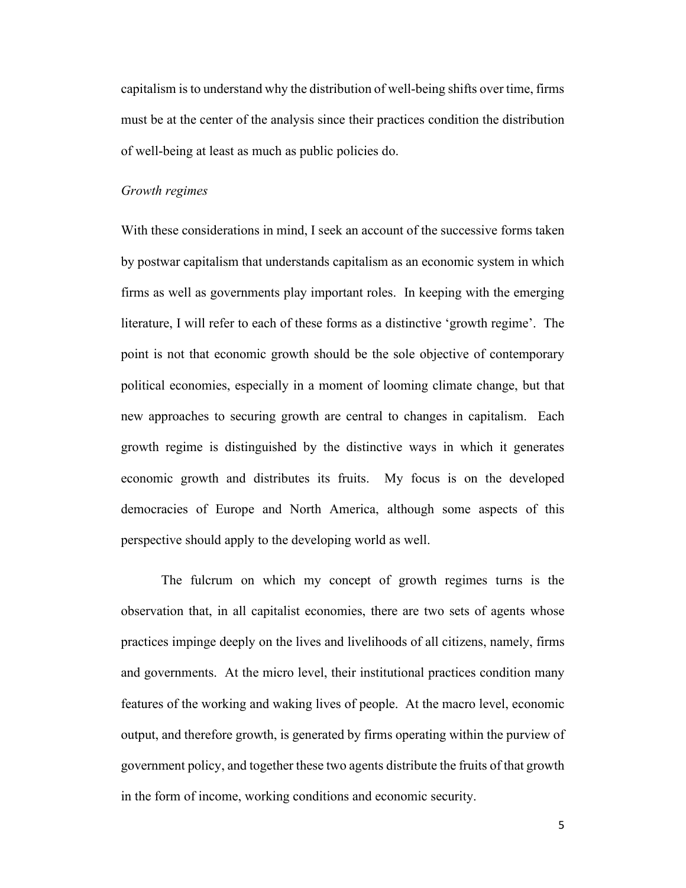capitalism is to understand why the distribution of well-being shifts over time, firms must be at the center of the analysis since their practices condition the distribution of well-being at least as much as public policies do.

# *Growth regimes*

With these considerations in mind, I seek an account of the successive forms taken by postwar capitalism that understands capitalism as an economic system in which firms as well as governments play important roles. In keeping with the emerging literature, I will refer to each of these forms as a distinctive 'growth regime'. The point is not that economic growth should be the sole objective of contemporary political economies, especially in a moment of looming climate change, but that new approaches to securing growth are central to changes in capitalism. Each growth regime is distinguished by the distinctive ways in which it generates economic growth and distributes its fruits. My focus is on the developed democracies of Europe and North America, although some aspects of this perspective should apply to the developing world as well.

The fulcrum on which my concept of growth regimes turns is the observation that, in all capitalist economies, there are two sets of agents whose practices impinge deeply on the lives and livelihoods of all citizens, namely, firms and governments. At the micro level, their institutional practices condition many features of the working and waking lives of people. At the macro level, economic output, and therefore growth, is generated by firms operating within the purview of government policy, and together these two agents distribute the fruits of that growth in the form of income, working conditions and economic security.

5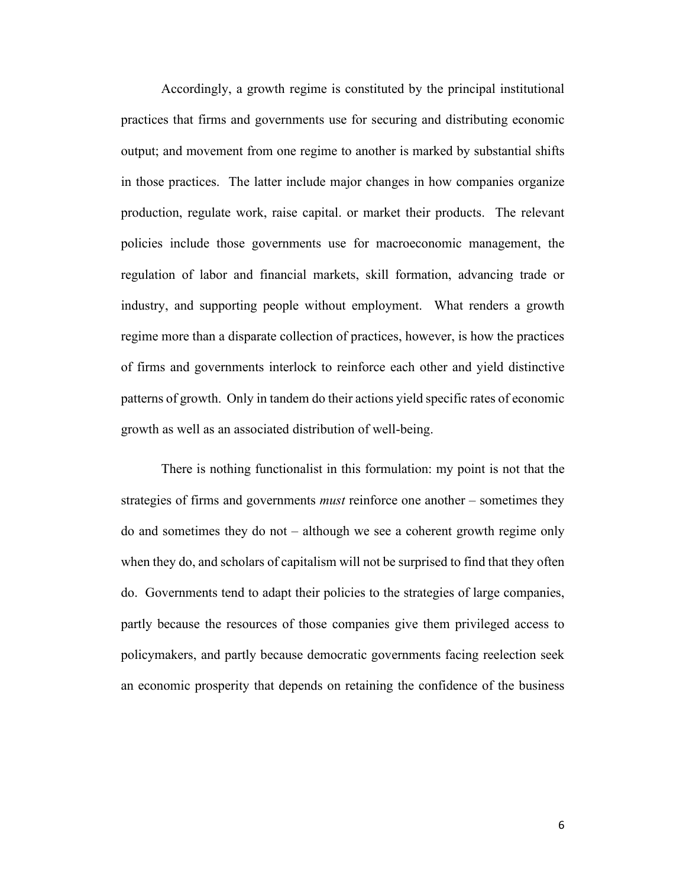Accordingly, a growth regime is constituted by the principal institutional practices that firms and governments use for securing and distributing economic output; and movement from one regime to another is marked by substantial shifts in those practices. The latter include major changes in how companies organize production, regulate work, raise capital. or market their products. The relevant policies include those governments use for macroeconomic management, the regulation of labor and financial markets, skill formation, advancing trade or industry, and supporting people without employment. What renders a growth regime more than a disparate collection of practices, however, is how the practices of firms and governments interlock to reinforce each other and yield distinctive patterns of growth. Only in tandem do their actions yield specific rates of economic growth as well as an associated distribution of well-being.

There is nothing functionalist in this formulation: my point is not that the strategies of firms and governments *must* reinforce one another – sometimes they do and sometimes they do not – although we see a coherent growth regime only when they do, and scholars of capitalism will not be surprised to find that they often do. Governments tend to adapt their policies to the strategies of large companies, partly because the resources of those companies give them privileged access to policymakers, and partly because democratic governments facing reelection seek an economic prosperity that depends on retaining the confidence of the business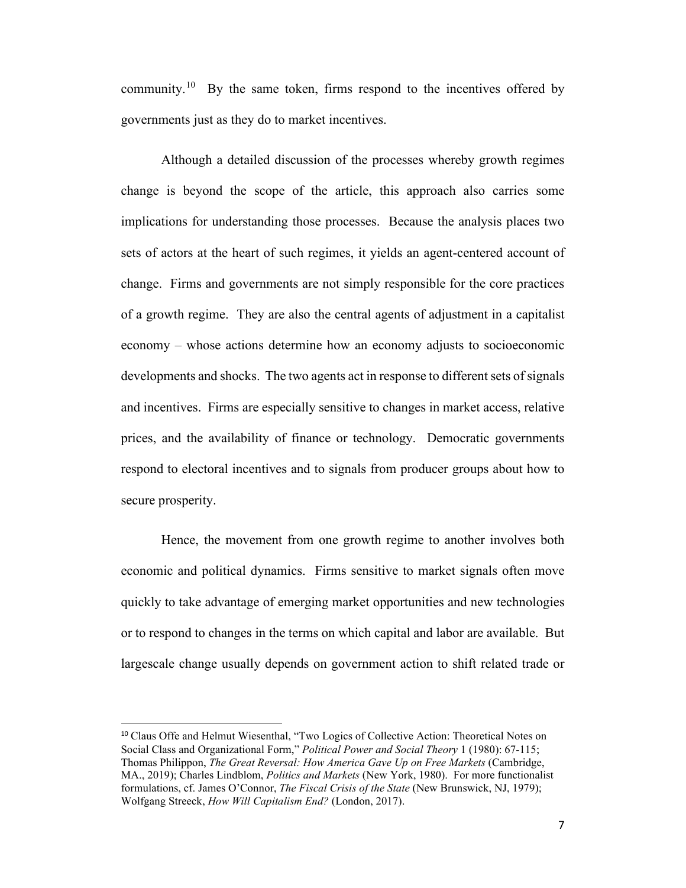community.<sup>[10](#page-6-0)</sup> By the same token, firms respond to the incentives offered by governments just as they do to market incentives.

Although a detailed discussion of the processes whereby growth regimes change is beyond the scope of the article, this approach also carries some implications for understanding those processes. Because the analysis places two sets of actors at the heart of such regimes, it yields an agent-centered account of change. Firms and governments are not simply responsible for the core practices of a growth regime. They are also the central agents of adjustment in a capitalist economy – whose actions determine how an economy adjusts to socioeconomic developments and shocks. The two agents act in response to different sets of signals and incentives. Firms are especially sensitive to changes in market access, relative prices, and the availability of finance or technology. Democratic governments respond to electoral incentives and to signals from producer groups about how to secure prosperity.

Hence, the movement from one growth regime to another involves both economic and political dynamics. Firms sensitive to market signals often move quickly to take advantage of emerging market opportunities and new technologies or to respond to changes in the terms on which capital and labor are available. But largescale change usually depends on government action to shift related trade or

<span id="page-6-0"></span><sup>&</sup>lt;sup>10</sup> Claus Offe and Helmut Wiesenthal, "Two Logics of Collective Action: Theoretical Notes on Social Class and Organizational Form," *Political Power and Social Theory* 1 (1980): 67-115; Thomas Philippon, *The Great Reversal: How America Gave Up on Free Markets* (Cambridge, MA., 2019); Charles Lindblom, *Politics and Markets* (New York, 1980). For more functionalist formulations, cf. James O'Connor, *The Fiscal Crisis of the State* (New Brunswick, NJ, 1979); Wolfgang Streeck, *How Will Capitalism End?* (London, 2017).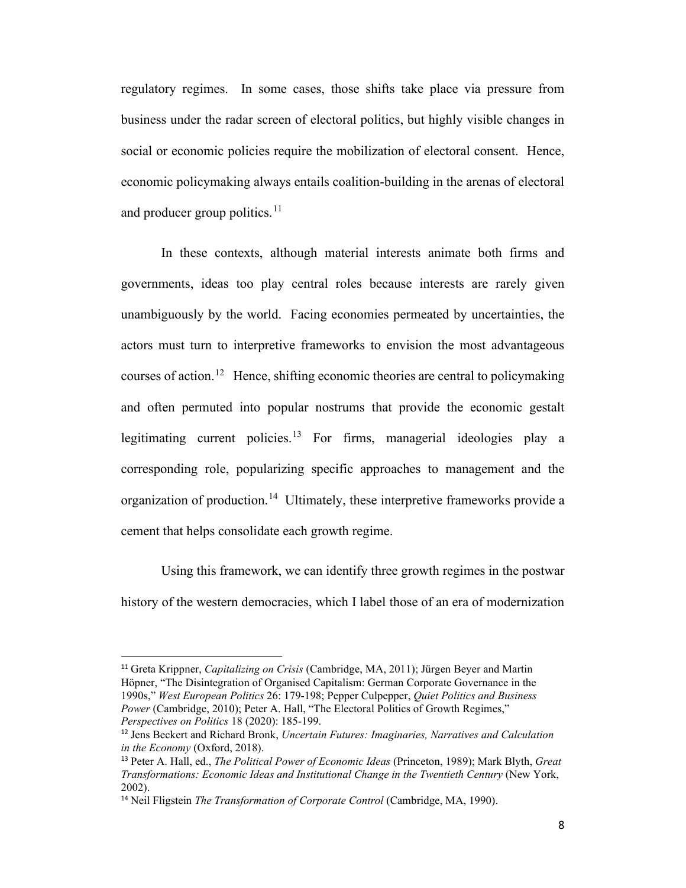regulatory regimes. In some cases, those shifts take place via pressure from business under the radar screen of electoral politics, but highly visible changes in social or economic policies require the mobilization of electoral consent. Hence, economic policymaking always entails coalition-building in the arenas of electoral and producer group politics. $11$ 

In these contexts, although material interests animate both firms and governments, ideas too play central roles because interests are rarely given unambiguously by the world. Facing economies permeated by uncertainties, the actors must turn to interpretive frameworks to envision the most advantageous courses of action.<sup>[12](#page-7-1)</sup> Hence, shifting economic theories are central to policymaking and often permuted into popular nostrums that provide the economic gestalt legitimating current policies.<sup>[13](#page-7-2)</sup> For firms, managerial ideologies play a corresponding role, popularizing specific approaches to management and the organization of production.<sup>[14](#page-7-3)</sup> Ultimately, these interpretive frameworks provide a cement that helps consolidate each growth regime.

Using this framework, we can identify three growth regimes in the postwar history of the western democracies, which I label those of an era of modernization

<span id="page-7-0"></span><sup>11</sup> Greta Krippner, *Capitalizing on Crisis* (Cambridge, MA, 2011); Jürgen Beyer and Martin Höpner, "The Disintegration of Organised Capitalism: German Corporate Governance in the 1990s," *West European Politics* 26: 179-198; Pepper Culpepper, *Quiet Politics and Business Power* (Cambridge, 2010); Peter A. Hall, "The Electoral Politics of Growth Regimes," *Perspectives on Politics* 18 (2020): 185-199.

<span id="page-7-1"></span><sup>12</sup> Jens Beckert and Richard Bronk, *Uncertain Futures: Imaginaries, Narratives and Calculation in the Economy* (Oxford, 2018).

<span id="page-7-2"></span><sup>13</sup> Peter A. Hall, ed., *The Political Power of Economic Ideas* (Princeton, 1989); Mark Blyth, *Great Transformations: Economic Ideas and Institutional Change in the Twentieth Century* (New York, 2002).

<span id="page-7-3"></span><sup>14</sup> Neil Fligstein *The Transformation of Corporate Control* (Cambridge, MA, 1990).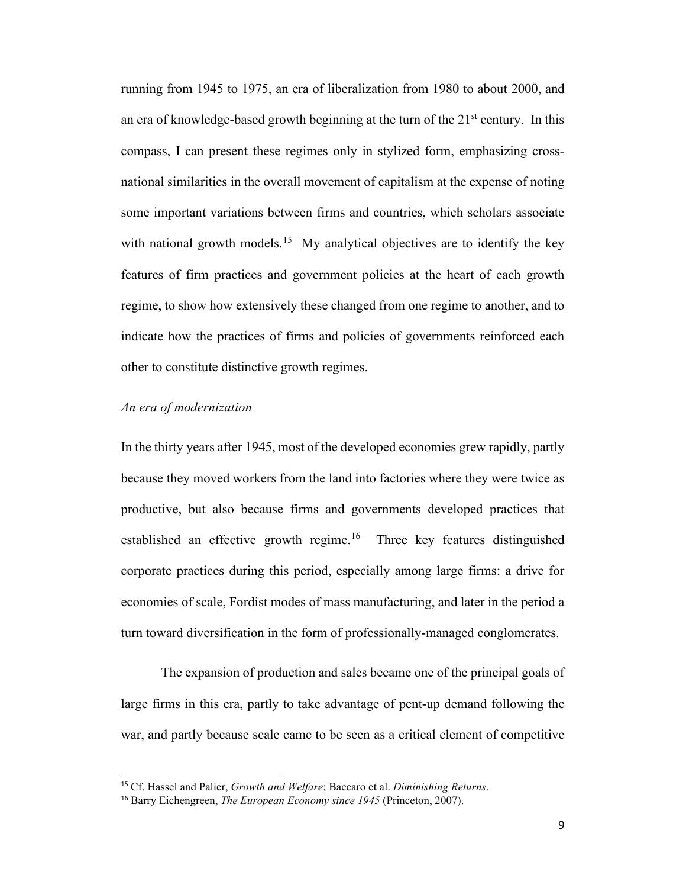running from 1945 to 1975, an era of liberalization from 1980 to about 2000, and an era of knowledge-based growth beginning at the turn of the  $21<sup>st</sup>$  century. In this compass, I can present these regimes only in stylized form, emphasizing crossnational similarities in the overall movement of capitalism at the expense of noting some important variations between firms and countries, which scholars associate with national growth models.<sup>15</sup> My analytical objectives are to identify the key features of firm practices and government policies at the heart of each growth regime, to show how extensively these changed from one regime to another, and to indicate how the practices of firms and policies of governments reinforced each other to constitute distinctive growth regimes.

# *An era of modernization*

In the thirty years after 1945, most of the developed economies grew rapidly, partly because they moved workers from the land into factories where they were twice as productive, but also because firms and governments developed practices that established an effective growth regime.<sup>16</sup> Three key features distinguished corporate practices during this period, especially among large firms: a drive for economies of scale, Fordist modes of mass manufacturing, and later in the period a turn toward diversification in the form of professionally-managed conglomerates.

The expansion of production and sales became one of the principal goals of large firms in this era, partly to take advantage of pent-up demand following the war, and partly because scale came to be seen as a critical element of competitive

<span id="page-8-0"></span><sup>15</sup> Cf. Hassel and Palier, *Growth and Welfare*; Baccaro et al. *Diminishing Returns*.

<span id="page-8-1"></span><sup>16</sup> Barry Eichengreen, *The European Economy since 1945* (Princeton, 2007).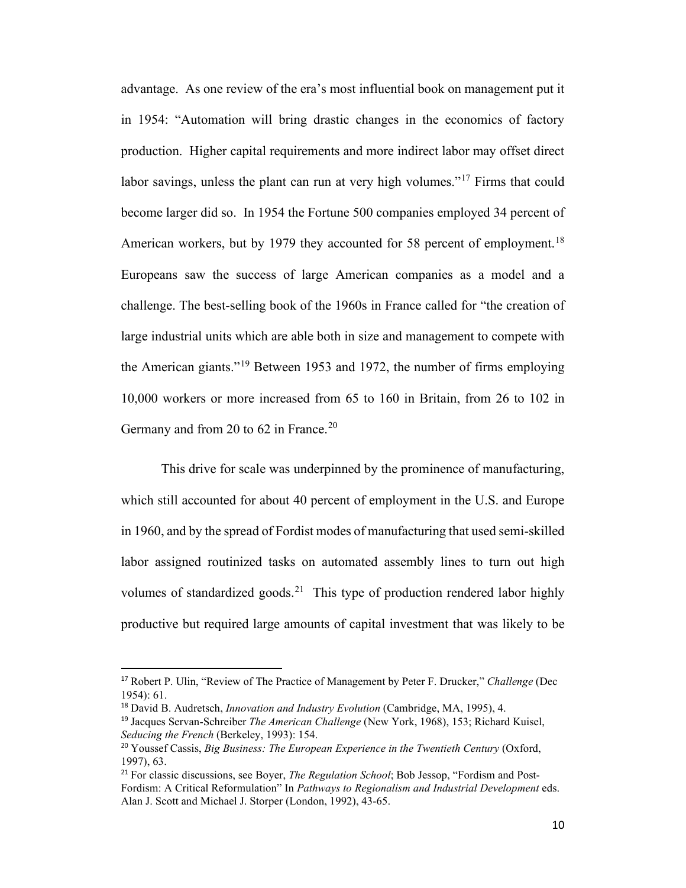advantage. As one review of the era's most influential book on management put it in 1954: "Automation will bring drastic changes in the economics of factory production. Higher capital requirements and more indirect labor may offset direct labor savings, unless the plant can run at very high volumes."<sup>[17](#page-9-0)</sup> Firms that could become larger did so. In 1954 the Fortune 500 companies employed 34 percent of American workers, but by 1979 they accounted for 58 percent of employment.<sup>[18](#page-9-1)</sup> Europeans saw the success of large American companies as a model and a challenge. The best-selling book of the 1960s in France called for "the creation of large industrial units which are able both in size and management to compete with the American giants."[19](#page-9-2) Between 1953 and 1972, the number of firms employing 10,000 workers or more increased from 65 to 160 in Britain, from 26 to 102 in Germany and from [20](#page-9-3) to 62 in France.<sup>20</sup>

This drive for scale was underpinned by the prominence of manufacturing, which still accounted for about 40 percent of employment in the U.S. and Europe in 1960, and by the spread of Fordist modes of manufacturing that used semi-skilled labor assigned routinized tasks on automated assembly lines to turn out high volumes of standardized goods.<sup>[21](#page-9-4)</sup> This type of production rendered labor highly productive but required large amounts of capital investment that was likely to be

<span id="page-9-0"></span><sup>17</sup> Robert P. Ulin, "Review of The Practice of Management by Peter F. Drucker," *Challenge* (Dec 1954): 61.

<span id="page-9-1"></span><sup>18</sup> David B. Audretsch, *Innovation and Industry Evolution* (Cambridge, MA, 1995), 4.

<span id="page-9-2"></span><sup>19</sup> Jacques Servan-Schreiber *The American Challenge* (New York, 1968), 153; Richard Kuisel, *Seducing the French* (Berkeley, 1993): 154.

<span id="page-9-3"></span><sup>20</sup> Youssef Cassis, *Big Business: The European Experience in the Twentieth Century* (Oxford, 1997), 63.

<span id="page-9-4"></span><sup>21</sup> For classic discussions, see Boyer, *The Regulation School*; Bob Jessop, "Fordism and Post-Fordism: A Critical Reformulation" In *Pathways to Regionalism and Industrial Development* eds. Alan J. Scott and Michael J. Storper (London, 1992), 43-65.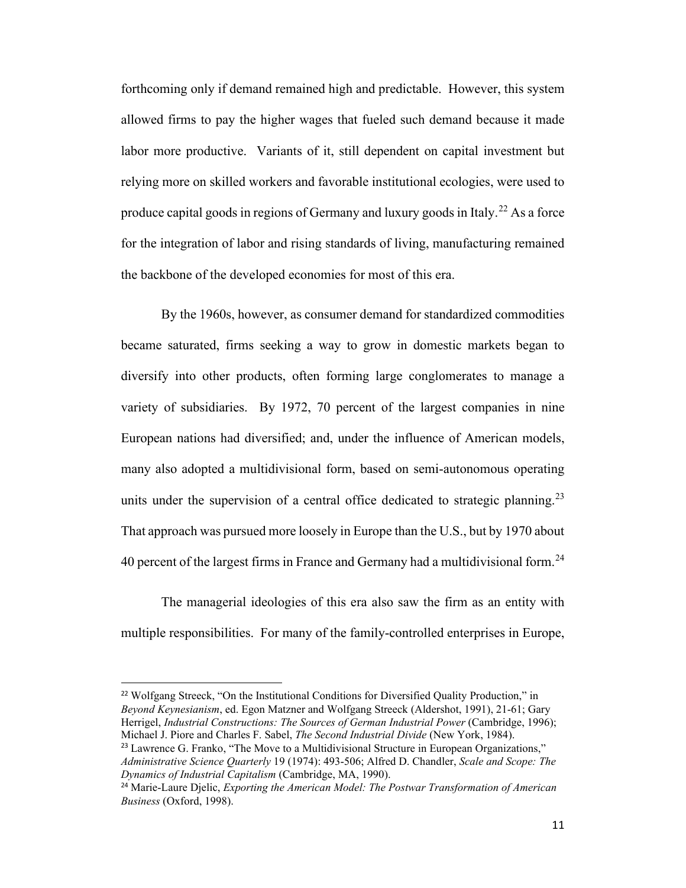forthcoming only if demand remained high and predictable. However, this system allowed firms to pay the higher wages that fueled such demand because it made labor more productive. Variants of it, still dependent on capital investment but relying more on skilled workers and favorable institutional ecologies, were used to produce capital goods in regions of Germany and luxury goods in Italy.<sup>[22](#page-10-0)</sup> As a force for the integration of labor and rising standards of living, manufacturing remained the backbone of the developed economies for most of this era.

By the 1960s, however, as consumer demand for standardized commodities became saturated, firms seeking a way to grow in domestic markets began to diversify into other products, often forming large conglomerates to manage a variety of subsidiaries. By 1972, 70 percent of the largest companies in nine European nations had diversified; and, under the influence of American models, many also adopted a multidivisional form, based on semi-autonomous operating units under the supervision of a central office dedicated to strategic planning.<sup>[23](#page-10-1)</sup> That approach was pursued more loosely in Europe than the U.S., but by 1970 about 40 percent of the largest firms in France and Germany had a multidivisional form.<sup>[24](#page-10-2)</sup>

The managerial ideologies of this era also saw the firm as an entity with multiple responsibilities. For many of the family-controlled enterprises in Europe,

<span id="page-10-0"></span><sup>22</sup> Wolfgang Streeck, "On the Institutional Conditions for Diversified Quality Production," in *Beyond Keynesianism*, ed. Egon Matzner and Wolfgang Streeck (Aldershot, 1991), 21-61; Gary Herrigel, *Industrial Constructions: The Sources of German Industrial Power* (Cambridge, 1996); Michael J. Piore and Charles F. Sabel, *The Second Industrial Divide* (New York, 1984).

<span id="page-10-1"></span><sup>&</sup>lt;sup>23</sup> Lawrence G. Franko, "The Move to a Multidivisional Structure in European Organizations," *Administrative Science Quarterly* 19 (1974): 493-506; Alfred D. Chandler, *Scale and Scope: The Dynamics of Industrial Capitalism* (Cambridge, MA, 1990).

<span id="page-10-2"></span><sup>24</sup> Marie-Laure Djelic, *Exporting the American Model: The Postwar Transformation of American Business* (Oxford, 1998).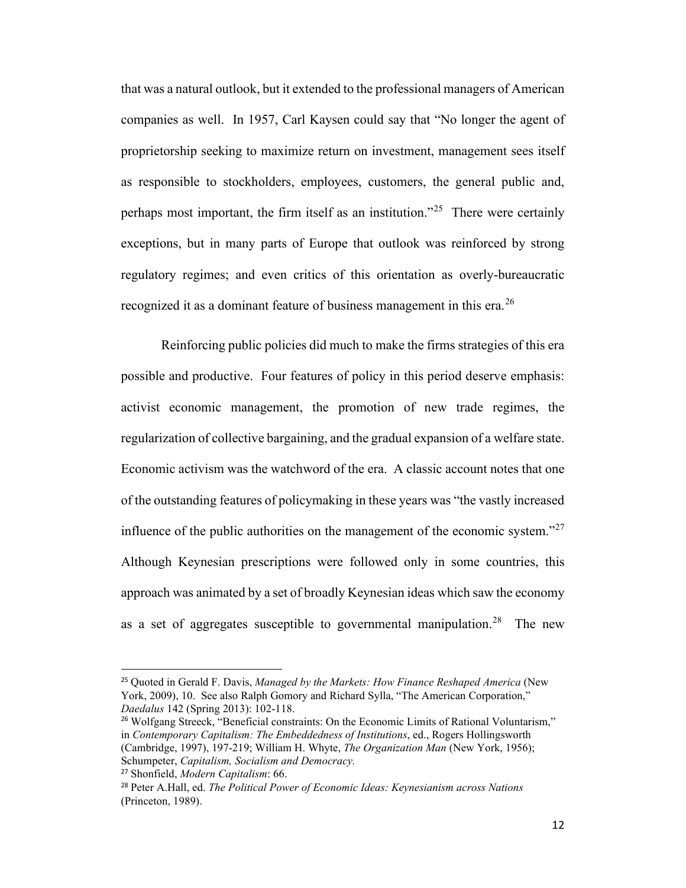that was a natural outlook, but it extended to the professional managers of American companies as well. In 1957, Carl Kaysen could say that "No longer the agent of proprietorship seeking to maximize return on investment, management sees itself as responsible to stockholders, employees, customers, the general public and, perhaps most important, the firm itself as an institution.<sup> $25$ </sup> There were certainly exceptions, but in many parts of Europe that outlook was reinforced by strong regulatory regimes; and even critics of this orientation as overly-bureaucratic recognized it as a dominant feature of business management in this era.<sup>[26](#page-11-1)</sup>

Reinforcing public policies did much to make the firms strategies of this era possible and productive. Four features of policy in this period deserve emphasis: activist economic management, the promotion of new trade regimes, the regularization of collective bargaining, and the gradual expansion of a welfare state. Economic activism was the watchword of the era. A classic account notes that one of the outstanding features of policymaking in these years was "the vastly increased influence of the public authorities on the management of the economic system."<sup>[27](#page-11-2)</sup> Although Keynesian prescriptions were followed only in some countries, this approach was animated by a set of broadly Keynesian ideas which saw the economy as a set of aggregates susceptible to governmental manipulation.<sup>[28](#page-11-3)</sup> The new

<span id="page-11-0"></span><sup>25</sup> Quoted in Gerald F. Davis, *Managed by the Markets: How Finance Reshaped America* (New York, 2009), 10. See also Ralph Gomory and Richard Sylla, "The American Corporation," *Daedalus* 142 (Spring 2013): 102-118.

<span id="page-11-1"></span><sup>&</sup>lt;sup>26</sup> Wolfgang Streeck, "Beneficial constraints: On the Economic Limits of Rational Voluntarism," in *Contemporary Capitalism: The Embeddedness of Institutions*, ed., Rogers Hollingsworth (Cambridge, 1997), 197-219; William H. Whyte, *The Organization Man* (New York, 1956); Schumpeter, *Capitalism, Socialism and Democracy.*

<span id="page-11-2"></span><sup>27</sup> Shonfield, *Modern Capitalism*: 66.

<span id="page-11-3"></span><sup>28</sup> Peter A.Hall, ed. *The Political Power of Economic Ideas: Keynesianism across Nations* (Princeton, 1989).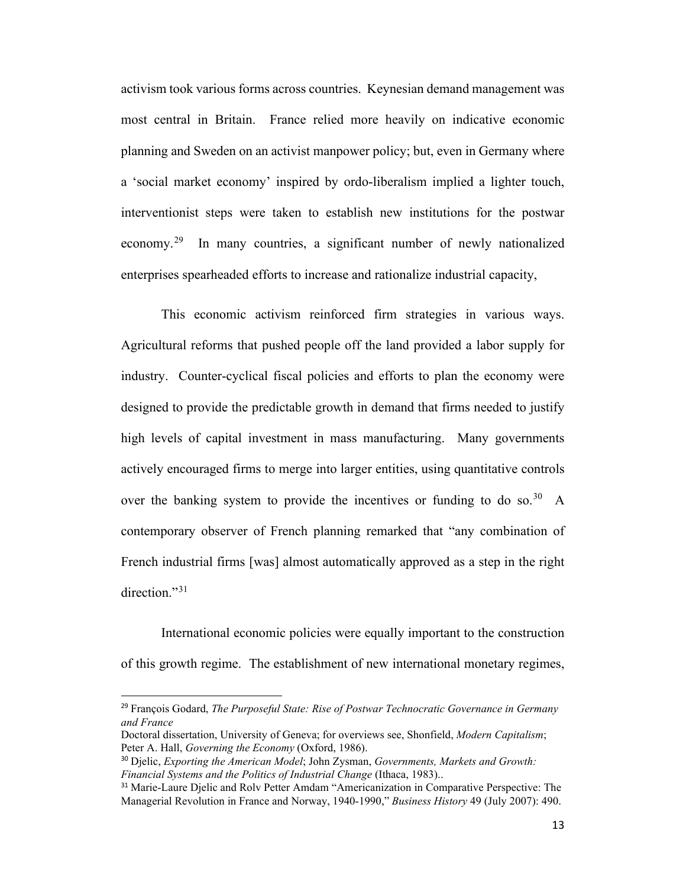activism took various forms across countries. Keynesian demand management was most central in Britain. France relied more heavily on indicative economic planning and Sweden on an activist manpower policy; but, even in Germany where a 'social market economy' inspired by ordo-liberalism implied a lighter touch, interventionist steps were taken to establish new institutions for the postwar economy.[29](#page-12-0) In many countries, a significant number of newly nationalized enterprises spearheaded efforts to increase and rationalize industrial capacity,

This economic activism reinforced firm strategies in various ways. Agricultural reforms that pushed people off the land provided a labor supply for industry. Counter-cyclical fiscal policies and efforts to plan the economy were designed to provide the predictable growth in demand that firms needed to justify high levels of capital investment in mass manufacturing. Many governments actively encouraged firms to merge into larger entities, using quantitative controls over the banking system to provide the incentives or funding to do so.<sup>[30](#page-12-1)</sup> A contemporary observer of French planning remarked that "any combination of French industrial firms [was] almost automatically approved as a step in the right direction."<sup>[31](#page-12-2)</sup>

International economic policies were equally important to the construction of this growth regime. The establishment of new international monetary regimes,

<span id="page-12-0"></span><sup>29</sup> François Godard, *The Purposeful State: Rise of Postwar Technocratic Governance in Germany and France*

Doctoral dissertation, University of Geneva; for overviews see, Shonfield, *Modern Capitalism*; Peter A. Hall, *Governing the Economy* (Oxford, 1986).

<span id="page-12-1"></span><sup>30</sup> Djelic, *Exporting the American Model*; John Zysman, *Governments, Markets and Growth: Financial Systems and the Politics of Industrial Change* (Ithaca, 1983)..

<span id="page-12-2"></span><sup>&</sup>lt;sup>31</sup> Marie-Laure Djelic and Rolv Petter Amdam "Americanization in Comparative Perspective: The Managerial Revolution in France and Norway, 1940-1990," *Business History* 49 (July 2007): 490.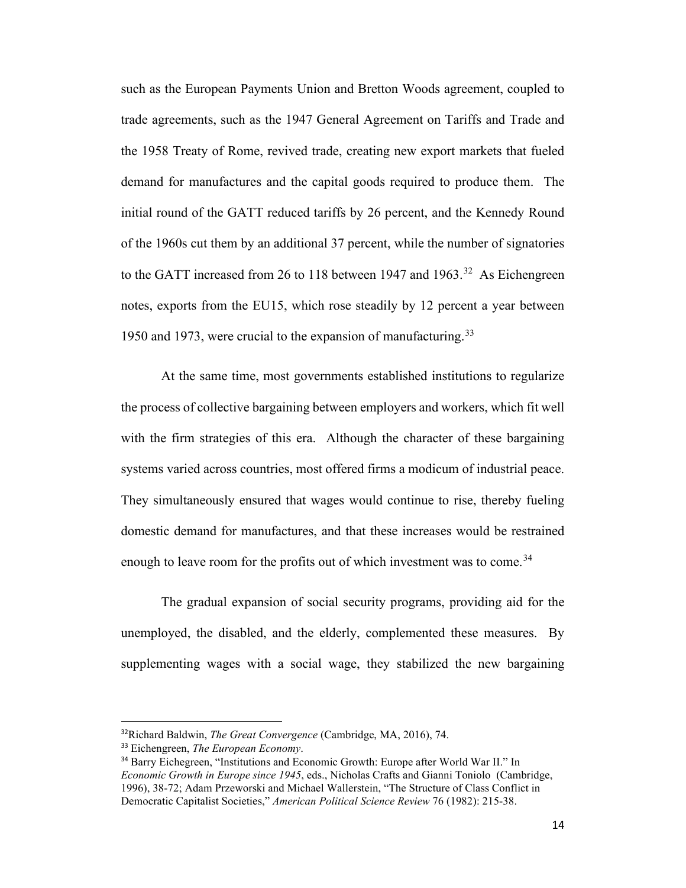such as the European Payments Union and Bretton Woods agreement, coupled to trade agreements, such as the 1947 General Agreement on Tariffs and Trade and the 1958 Treaty of Rome, revived trade, creating new export markets that fueled demand for manufactures and the capital goods required to produce them. The initial round of the GATT reduced tariffs by 26 percent, and the Kennedy Round of the 1960s cut them by an additional 37 percent, while the number of signatories to the GATT increased from 26 to 118 between 1947 and 1963.<sup>[32](#page-13-0)</sup> As Eichengreen notes, exports from the EU15, which rose steadily by 12 percent a year between 1950 and 1973, were crucial to the expansion of manufacturing.<sup>[33](#page-13-1)</sup>

At the same time, most governments established institutions to regularize the process of collective bargaining between employers and workers, which fit well with the firm strategies of this era. Although the character of these bargaining systems varied across countries, most offered firms a modicum of industrial peace. They simultaneously ensured that wages would continue to rise, thereby fueling domestic demand for manufactures, and that these increases would be restrained enough to leave room for the profits out of which investment was to come.<sup>[34](#page-13-2)</sup>

The gradual expansion of social security programs, providing aid for the unemployed, the disabled, and the elderly, complemented these measures. By supplementing wages with a social wage, they stabilized the new bargaining

<span id="page-13-0"></span><sup>32</sup>Richard Baldwin, *The Great Convergence* (Cambridge, MA, 2016), 74.

<span id="page-13-1"></span><sup>33</sup> Eichengreen, *The European Economy*.

<span id="page-13-2"></span><sup>&</sup>lt;sup>34</sup> Barry Eichegreen, "Institutions and Economic Growth: Europe after World War II." In *Economic Growth in Europe since 1945*, eds., Nicholas Crafts and Gianni Toniolo (Cambridge, 1996), 38-72; Adam Przeworski and Michael Wallerstein, "The Structure of Class Conflict in Democratic Capitalist Societies," *American Political Science Review* 76 (1982): 215-38.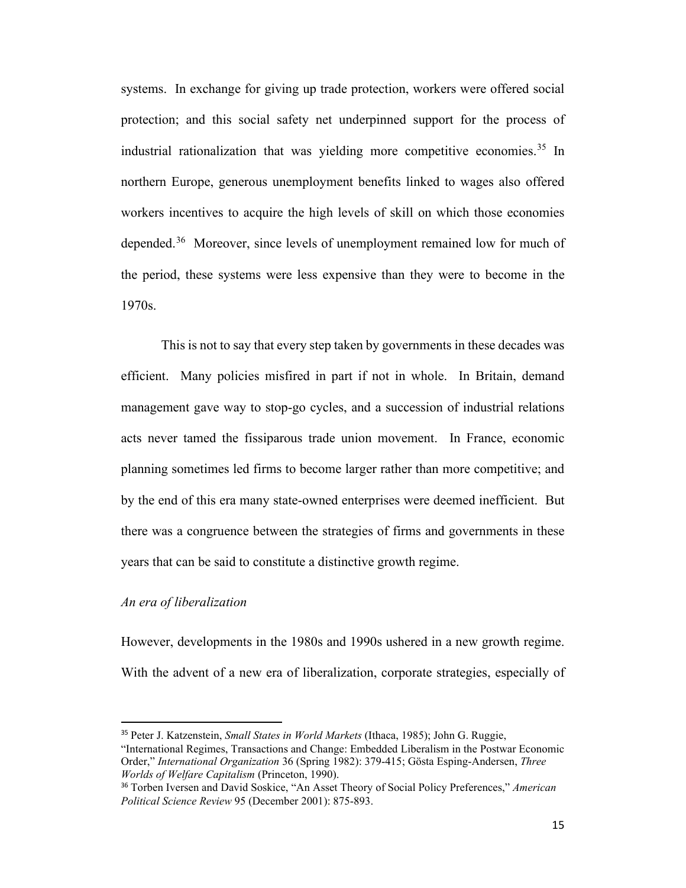systems. In exchange for giving up trade protection, workers were offered social protection; and this social safety net underpinned support for the process of industrial rationalization that was vielding more competitive economies.<sup>[35](#page-14-0)</sup> In northern Europe, generous unemployment benefits linked to wages also offered workers incentives to acquire the high levels of skill on which those economies depended.<sup>36</sup> Moreover, since levels of unemployment remained low for much of the period, these systems were less expensive than they were to become in the 1970s.

This is not to say that every step taken by governments in these decades was efficient. Many policies misfired in part if not in whole. In Britain, demand management gave way to stop-go cycles, and a succession of industrial relations acts never tamed the fissiparous trade union movement. In France, economic planning sometimes led firms to become larger rather than more competitive; and by the end of this era many state-owned enterprises were deemed inefficient. But there was a congruence between the strategies of firms and governments in these years that can be said to constitute a distinctive growth regime.

## *An era of liberalization*

However, developments in the 1980s and 1990s ushered in a new growth regime. With the advent of a new era of liberalization, corporate strategies, especially of

<span id="page-14-0"></span><sup>35</sup> Peter J. Katzenstein, *Small States in World Markets* (Ithaca, 1985); John G. Ruggie, "International Regimes, Transactions and Change: Embedded Liberalism in the Postwar Economic Order," *International Organization* 36 (Spring 1982): 379-415; Gösta Esping-Andersen, *Three Worlds of Welfare Capitalism* (Princeton, 1990).

<span id="page-14-1"></span><sup>36</sup> Torben Iversen and David Soskice, "An Asset Theory of Social Policy Preferences," *American Political Science Review* 95 (December 2001): 875-893.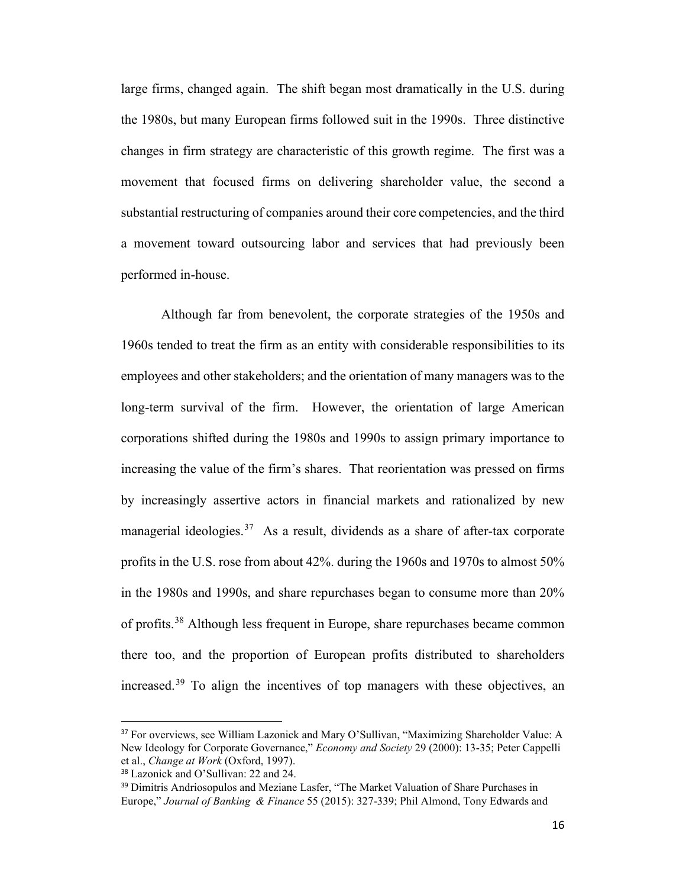large firms, changed again. The shift began most dramatically in the U.S. during the 1980s, but many European firms followed suit in the 1990s. Three distinctive changes in firm strategy are characteristic of this growth regime. The first was a movement that focused firms on delivering shareholder value, the second a substantial restructuring of companies around their core competencies, and the third a movement toward outsourcing labor and services that had previously been performed in-house.

Although far from benevolent, the corporate strategies of the 1950s and 1960s tended to treat the firm as an entity with considerable responsibilities to its employees and other stakeholders; and the orientation of many managers was to the long-term survival of the firm. However, the orientation of large American corporations shifted during the 1980s and 1990s to assign primary importance to increasing the value of the firm's shares. That reorientation was pressed on firms by increasingly assertive actors in financial markets and rationalized by new managerial ideologies.<sup>[37](#page-15-0)</sup> As a result, dividends as a share of after-tax corporate profits in the U.S. rose from about 42%. during the 1960s and 1970s to almost 50% in the 1980s and 1990s, and share repurchases began to consume more than 20% of profits.[38](#page-15-1) Although less frequent in Europe, share repurchases became common there too, and the proportion of European profits distributed to shareholders increased.[39](#page-15-2) To align the incentives of top managers with these objectives, an

<span id="page-15-0"></span><sup>&</sup>lt;sup>37</sup> For overviews, see William Lazonick and Mary O'Sullivan, "Maximizing Shareholder Value: A New Ideology for Corporate Governance," *Economy and Society* 29 (2000): 13-35; Peter Cappelli et al., *Change at Work* (Oxford, 1997).

<span id="page-15-1"></span><sup>38</sup> Lazonick and O'Sullivan: 22 and 24.

<span id="page-15-2"></span><sup>&</sup>lt;sup>39</sup> Dimitris Andriosopulos and Meziane Lasfer, "The Market Valuation of Share Purchases in Europe," *Journal of Banking & Finance* 55 (2015): 327-339; Phil Almond, Tony Edwards and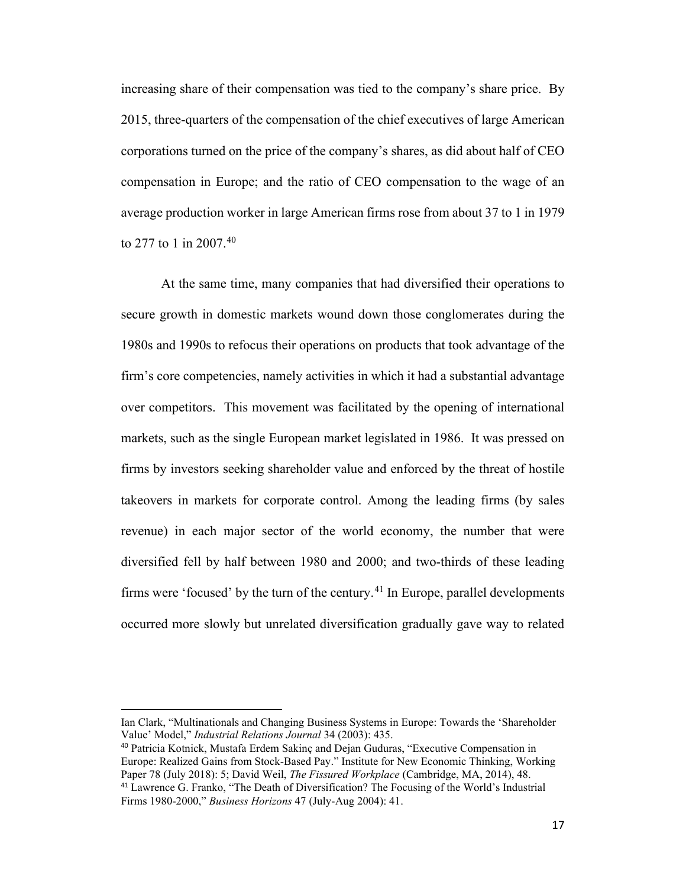increasing share of their compensation was tied to the company's share price. By 2015, three-quarters of the compensation of the chief executives of large American corporations turned on the price of the company's shares, as did about half of CEO compensation in Europe; and the ratio of CEO compensation to the wage of an average production worker in large American firms rose from about 37 to 1 in 1979 to 277 to 1 in 2007.[40](#page-16-0)

At the same time, many companies that had diversified their operations to secure growth in domestic markets wound down those conglomerates during the 1980s and 1990s to refocus their operations on products that took advantage of the firm's core competencies, namely activities in which it had a substantial advantage over competitors. This movement was facilitated by the opening of international markets, such as the single European market legislated in 1986. It was pressed on firms by investors seeking shareholder value and enforced by the threat of hostile takeovers in markets for corporate control. Among the leading firms (by sales revenue) in each major sector of the world economy, the number that were diversified fell by half between 1980 and 2000; and two-thirds of these leading firms were 'focused' by the turn of the century. [41](#page-16-1) In Europe, parallel developments occurred more slowly but unrelated diversification gradually gave way to related

<span id="page-16-1"></span><span id="page-16-0"></span><sup>40</sup> Patricia Kotnick, Mustafa Erdem Sakinç and Dejan Guduras, "Executive Compensation in Europe: Realized Gains from Stock-Based Pay." Institute for New Economic Thinking, Working Paper 78 (July 2018): 5; David Weil, *The Fissured Workplace* (Cambridge, MA, 2014), 48. <sup>41</sup> Lawrence G. Franko, "The Death of Diversification? The Focusing of the World's Industrial Firms 1980-2000," *Business Horizons* 47 (July-Aug 2004): 41.

Ian Clark, "Multinationals and Changing Business Systems in Europe: Towards the 'Shareholder Value' Model," *Industrial Relations Journal* 34 (2003): 435.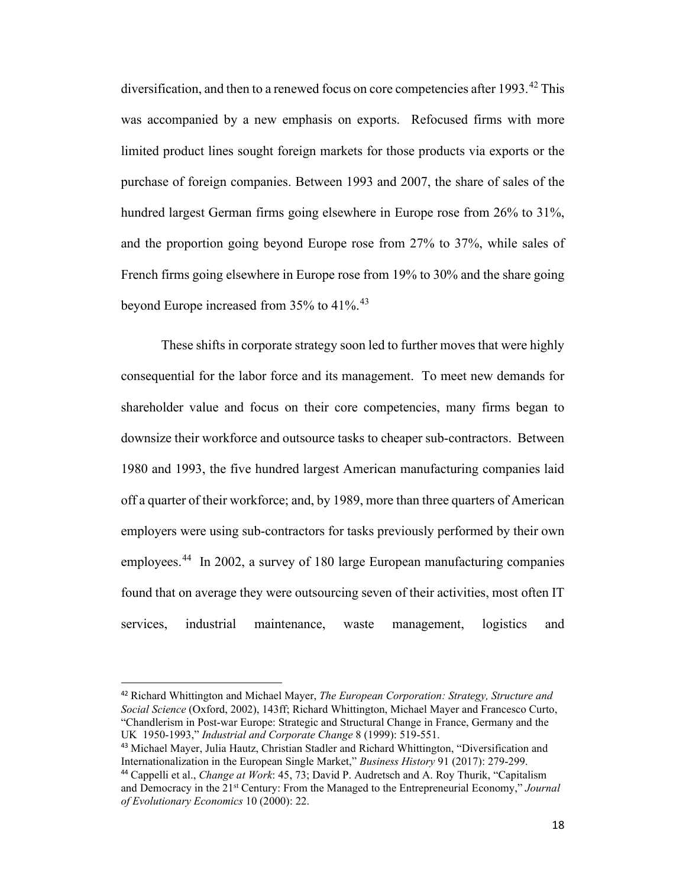diversification, and then to a renewed focus on core competencies after  $1993.^{42}$  $1993.^{42}$  $1993.^{42}$  This was accompanied by a new emphasis on exports. Refocused firms with more limited product lines sought foreign markets for those products via exports or the purchase of foreign companies. Between 1993 and 2007, the share of sales of the hundred largest German firms going elsewhere in Europe rose from 26% to 31%, and the proportion going beyond Europe rose from 27% to 37%, while sales of French firms going elsewhere in Europe rose from 19% to 30% and the share going beyond Europe increased from 35% to 41%.<sup>43</sup>

These shifts in corporate strategy soon led to further moves that were highly consequential for the labor force and its management. To meet new demands for shareholder value and focus on their core competencies, many firms began to downsize their workforce and outsource tasks to cheaper sub-contractors. Between 1980 and 1993, the five hundred largest American manufacturing companies laid off a quarter of their workforce; and, by 1989, more than three quarters of American employers were using sub-contractors for tasks previously performed by their own employees.<sup>[44](#page-17-2)</sup> In 2002, a survey of 180 large European manufacturing companies found that on average they were outsourcing seven of their activities, most often IT services, industrial maintenance, waste management, logistics and

<span id="page-17-0"></span><sup>42</sup> Richard Whittington and Michael Mayer, *The European Corporation: Strategy, Structure and Social Science* (Oxford, 2002), 143ff; Richard Whittington, Michael Mayer and Francesco Curto, "Chandlerism in Post-war Europe: Strategic and Structural Change in France, Germany and the UK 1950-1993," *Industrial and Corporate Change* 8 (1999): 519-551.

<span id="page-17-1"></span><sup>43</sup> Michael Mayer, Julia Hautz, Christian Stadler and Richard Whittington, "Diversification and Internationalization in the European Single Market," *Business History* 91 (2017): 279-299.

<span id="page-17-2"></span><sup>44</sup> Cappelli et al., *Change at Work*: 45, 73; David P. Audretsch and A. Roy Thurik, "Capitalism and Democracy in the 21st Century: From the Managed to the Entrepreneurial Economy," *Journal of Evolutionary Economics* 10 (2000): 22.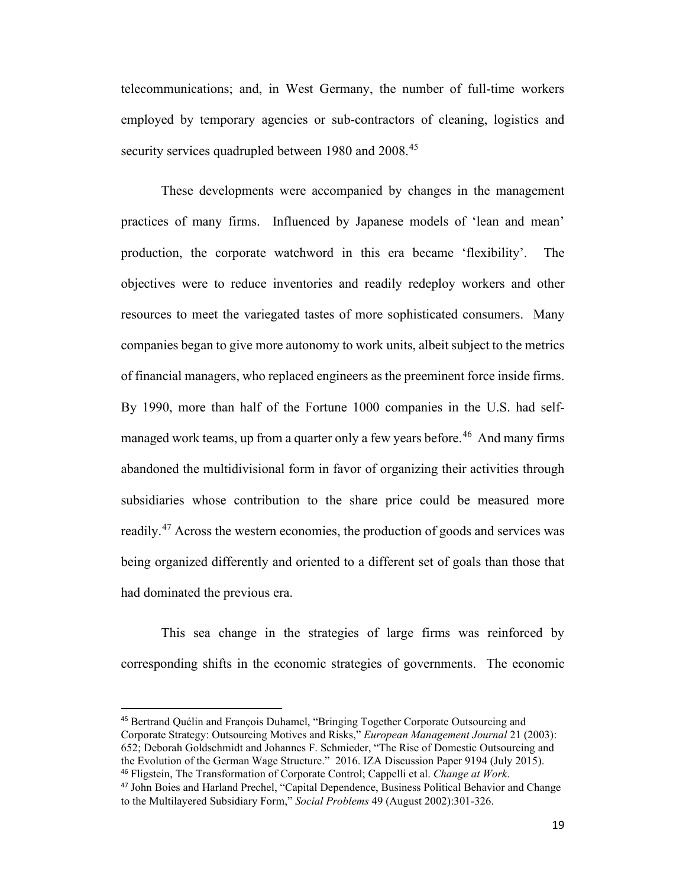telecommunications; and, in West Germany, the number of full-time workers employed by temporary agencies or sub-contractors of cleaning, logistics and security services quadrupled between 1980 and 2008.<sup>[45](#page-18-0)</sup>

These developments were accompanied by changes in the management practices of many firms. Influenced by Japanese models of 'lean and mean' production, the corporate watchword in this era became 'flexibility'. The objectives were to reduce inventories and readily redeploy workers and other resources to meet the variegated tastes of more sophisticated consumers. Many companies began to give more autonomy to work units, albeit subject to the metrics of financial managers, who replaced engineers as the preeminent force inside firms. By 1990, more than half of the Fortune 1000 companies in the U.S. had self-managed work teams, up from a quarter only a few years before.<sup>[46](#page-18-1)</sup> And many firms abandoned the multidivisional form in favor of organizing their activities through subsidiaries whose contribution to the share price could be measured more readily.<sup>[47](#page-18-2)</sup> Across the western economies, the production of goods and services was being organized differently and oriented to a different set of goals than those that had dominated the previous era.

This sea change in the strategies of large firms was reinforced by corresponding shifts in the economic strategies of governments. The economic

<span id="page-18-0"></span><sup>45</sup> Bertrand Quélin and François Duhamel, "Bringing Together Corporate Outsourcing and Corporate Strategy: Outsourcing Motives and Risks," *European Management Journal* 21 (2003): 652; Deborah Goldschmidt and Johannes F. Schmieder, "The Rise of Domestic Outsourcing and the Evolution of the German Wage Structure." 2016. IZA Discussion Paper 9194 (July 2015). <sup>46</sup> Fligstein, The Transformation of Corporate Control; Cappelli et al. *Change at Work*.

<span id="page-18-2"></span><span id="page-18-1"></span><sup>47</sup> John Boies and Harland Prechel, "Capital Dependence, Business Political Behavior and Change to the Multilayered Subsidiary Form," *Social Problems* 49 (August 2002):301-326.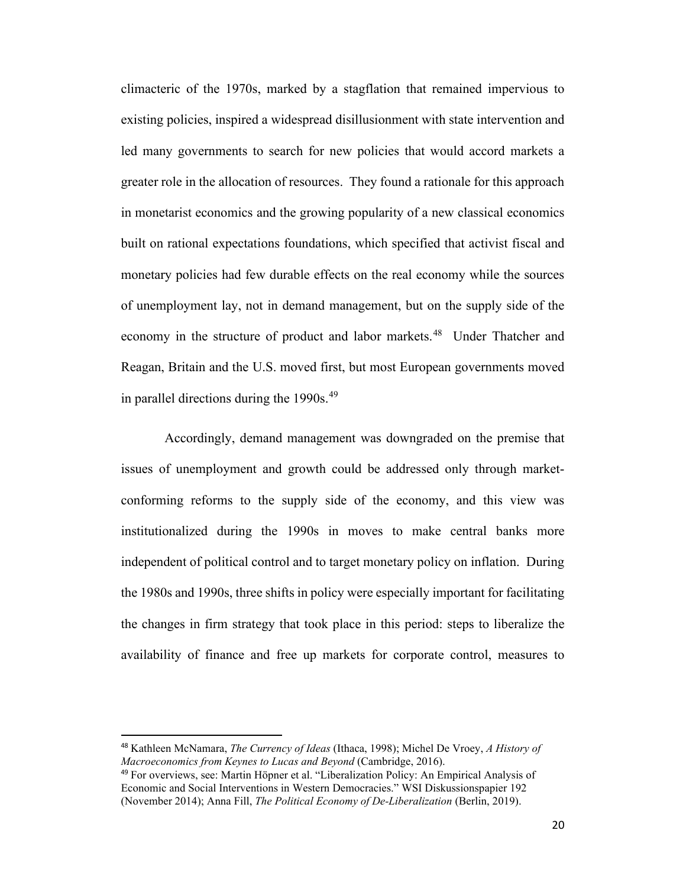climacteric of the 1970s, marked by a stagflation that remained impervious to existing policies, inspired a widespread disillusionment with state intervention and led many governments to search for new policies that would accord markets a greater role in the allocation of resources. They found a rationale for this approach in monetarist economics and the growing popularity of a new classical economics built on rational expectations foundations, which specified that activist fiscal and monetary policies had few durable effects on the real economy while the sources of unemployment lay, not in demand management, but on the supply side of the economy in the structure of product and labor markets.<sup>48</sup> Under Thatcher and Reagan, Britain and the U.S. moved first, but most European governments moved in parallel directions during the  $1990s.<sup>49</sup>$ 

Accordingly, demand management was downgraded on the premise that issues of unemployment and growth could be addressed only through marketconforming reforms to the supply side of the economy, and this view was institutionalized during the 1990s in moves to make central banks more independent of political control and to target monetary policy on inflation. During the 1980s and 1990s, three shifts in policy were especially important for facilitating the changes in firm strategy that took place in this period: steps to liberalize the availability of finance and free up markets for corporate control, measures to

<span id="page-19-0"></span><sup>48</sup> Kathleen McNamara, *The Currency of Ideas* (Ithaca, 1998); Michel De Vroey, *A History of Macroeconomics from Keynes to Lucas and Beyond* (Cambridge, 2016).

<span id="page-19-1"></span><sup>49</sup> For overviews, see: Martin Höpner et al. "Liberalization Policy: An Empirical Analysis of Economic and Social Interventions in Western Democracies." WSI Diskussionspapier 192 (November 2014); Anna Fill, *The Political Economy of De-Liberalization* (Berlin, 2019).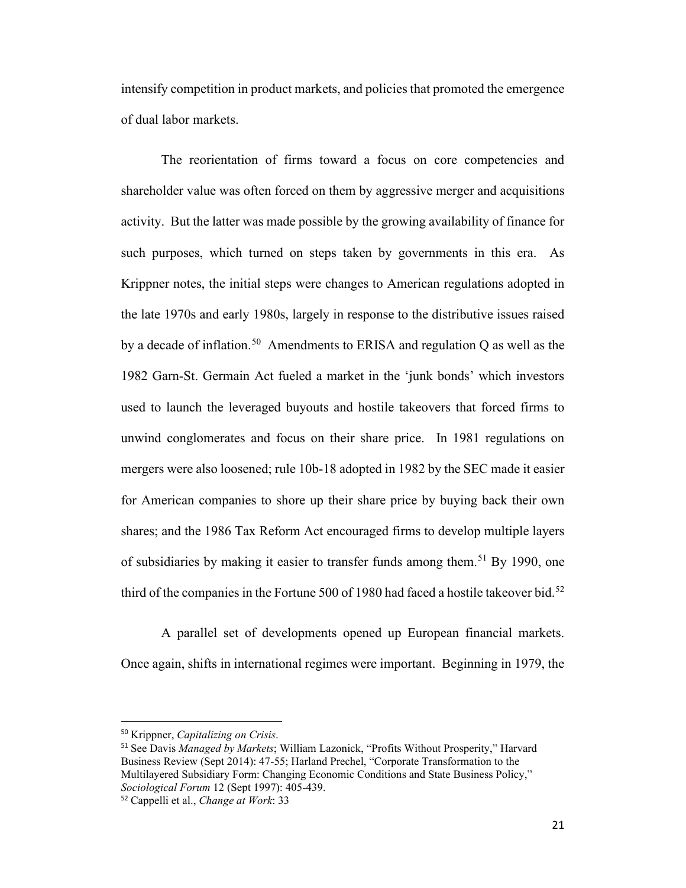intensify competition in product markets, and policies that promoted the emergence of dual labor markets.

The reorientation of firms toward a focus on core competencies and shareholder value was often forced on them by aggressive merger and acquisitions activity. But the latter was made possible by the growing availability of finance for such purposes, which turned on steps taken by governments in this era. As Krippner notes, the initial steps were changes to American regulations adopted in the late 1970s and early 1980s, largely in response to the distributive issues raised by a decade of inflation.<sup>[50](#page-20-0)</sup> Amendments to ERISA and regulation Q as well as the 1982 Garn-St. Germain Act fueled a market in the 'junk bonds' which investors used to launch the leveraged buyouts and hostile takeovers that forced firms to unwind conglomerates and focus on their share price. In 1981 regulations on mergers were also loosened; rule 10b-18 adopted in 1982 by the SEC made it easier for American companies to shore up their share price by buying back their own shares; and the 1986 Tax Reform Act encouraged firms to develop multiple layers of subsidiaries by making it easier to transfer funds among them.<sup>[51](#page-20-1)</sup> By 1990, one third of the companies in the Fortune 500 of 1980 had faced a hostile takeover bid.<sup>[52](#page-20-2)</sup>

A parallel set of developments opened up European financial markets. Once again, shifts in international regimes were important. Beginning in 1979, the

<span id="page-20-0"></span><sup>50</sup> Krippner, *Capitalizing on Crisis*.

<span id="page-20-1"></span><sup>51</sup> See Davis *Managed by Markets*; William Lazonick, "Profits Without Prosperity," Harvard Business Review (Sept 2014): 47-55; Harland Prechel, "Corporate Transformation to the Multilayered Subsidiary Form: Changing Economic Conditions and State Business Policy," *Sociological Forum* 12 (Sept 1997): 405-439.

<span id="page-20-2"></span><sup>52</sup> Cappelli et al., *Change at Work*: 33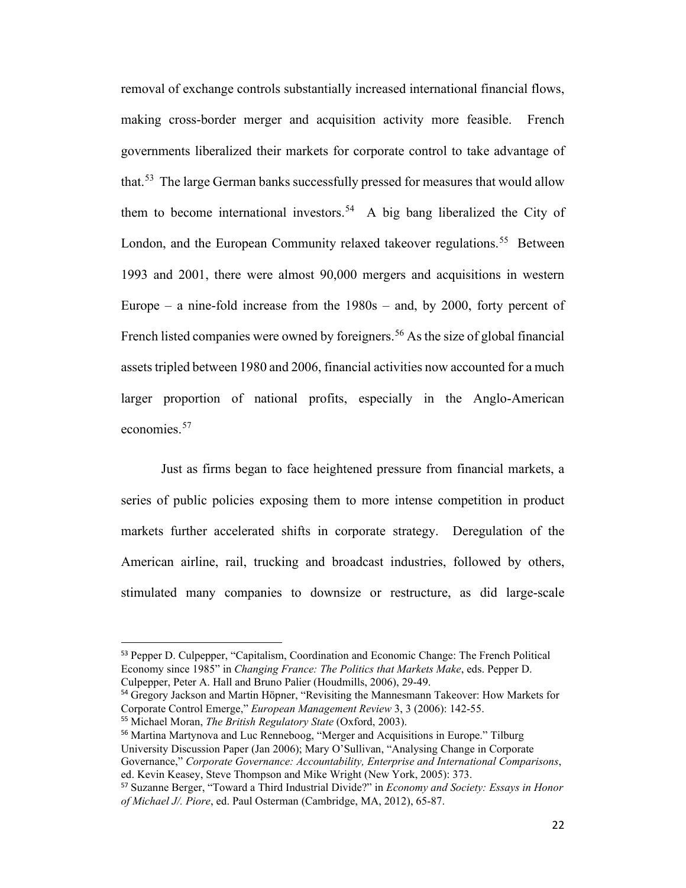removal of exchange controls substantially increased international financial flows, making cross-border merger and acquisition activity more feasible. French governments liberalized their markets for corporate control to take advantage of that.<sup>53</sup> The large German banks successfully pressed for measures that would allow them to become international investors. [54](#page-21-1) A big bang liberalized the City of London, and the European Community relaxed takeover regulations.<sup>55</sup> Between 1993 and 2001, there were almost 90,000 mergers and acquisitions in western Europe – a nine-fold increase from the  $1980s$  – and, by 2000, forty percent of French listed companies were owned by foreigners.<sup>[56](#page-21-3)</sup> As the size of global financial assets tripled between 1980 and 2006, financial activities now accounted for a much larger proportion of national profits, especially in the Anglo-American economies.[57](#page-21-4)

Just as firms began to face heightened pressure from financial markets, a series of public policies exposing them to more intense competition in product markets further accelerated shifts in corporate strategy. Deregulation of the American airline, rail, trucking and broadcast industries, followed by others, stimulated many companies to downsize or restructure, as did large-scale

<span id="page-21-1"></span><sup>54</sup> Gregory Jackson and Martin Höpner, "Revisiting the Mannesmann Takeover: How Markets for Corporate Control Emerge," *European Management Review* 3, 3 (2006): 142-55.

<span id="page-21-3"></span><span id="page-21-2"></span><sup>56</sup> Martina Martynova and Luc Renneboog, "Merger and Acquisitions in Europe." Tilburg

University Discussion Paper (Jan 2006); Mary O'Sullivan, "Analysing Change in Corporate

Governance," *Corporate Governance: Accountability, Enterprise and International Comparisons*, ed. Kevin Keasey, Steve Thompson and Mike Wright (New York, 2005): 373.

<span id="page-21-0"></span><sup>53</sup> Pepper D. Culpepper, "Capitalism, Coordination and Economic Change: The French Political Economy since 1985" in *Changing France: The Politics that Markets Make*, eds. Pepper D. Culpepper, Peter A. Hall and Bruno Palier (Houdmills, 2006), 29-49.

<sup>55</sup> Michael Moran, *The British Regulatory State* (Oxford, 2003).

<span id="page-21-4"></span><sup>57</sup> Suzanne Berger, "Toward a Third Industrial Divide?" in *Economy and Society: Essays in Honor of Michael J/. Piore*, ed. Paul Osterman (Cambridge, MA, 2012), 65-87.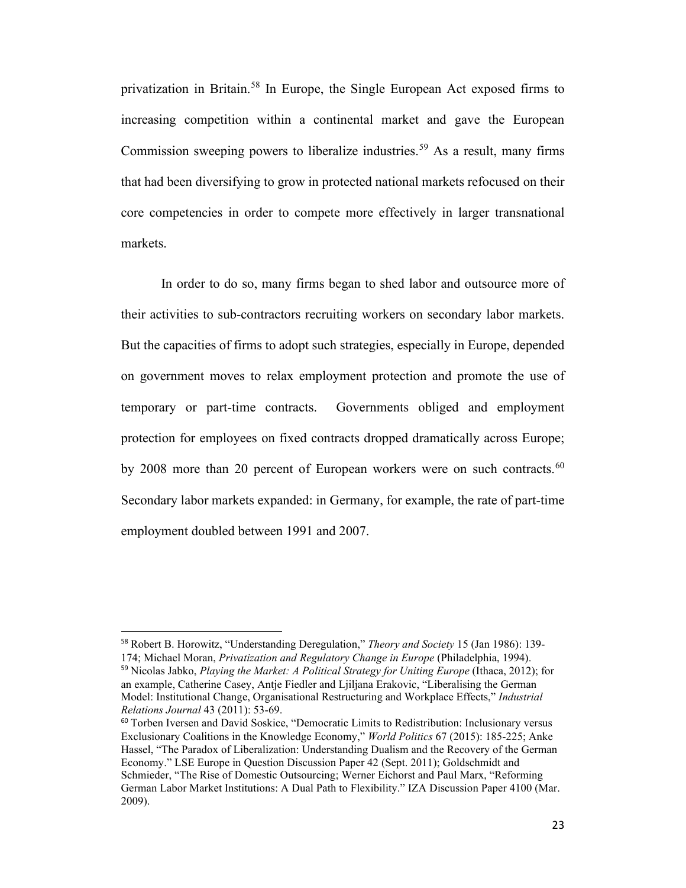privatization in Britain.[58](#page-22-0) In Europe, the Single European Act exposed firms to increasing competition within a continental market and gave the European Commission sweeping powers to liberalize industries.<sup>[59](#page-22-1)</sup> As a result, many firms that had been diversifying to grow in protected national markets refocused on their core competencies in order to compete more effectively in larger transnational markets.

In order to do so, many firms began to shed labor and outsource more of their activities to sub-contractors recruiting workers on secondary labor markets. But the capacities of firms to adopt such strategies, especially in Europe, depended on government moves to relax employment protection and promote the use of temporary or part-time contracts. Governments obliged and employment protection for employees on fixed contracts dropped dramatically across Europe; by 2008 more than 20 percent of European workers were on such contracts.<sup>[60](#page-22-2)</sup> Secondary labor markets expanded: in Germany, for example, the rate of part-time employment doubled between 1991 and 2007.

<span id="page-22-1"></span><span id="page-22-0"></span><sup>58</sup> Robert B. Horowitz, "Understanding Deregulation," *Theory and Society* 15 (Jan 1986): 139- 174; Michael Moran, *Privatization and Regulatory Change in Europe* (Philadelphia, 1994). <sup>59</sup> Nicolas Jabko, *Playing the Market: A Political Strategy for Uniting Europe* (Ithaca, 2012); for an example, Catherine Casey, Antje Fiedler and Ljiljana Erakovic, "Liberalising the German Model: Institutional Change, Organisational Restructuring and Workplace Effects," *Industrial Relations Journal* 43 (2011): 53-69.

<span id="page-22-2"></span> $60$  Torben Iversen and David Soskice, "Democratic Limits to Redistribution: Inclusionary versus Exclusionary Coalitions in the Knowledge Economy," *World Politics* 67 (2015): 185-225; Anke Hassel, "The Paradox of Liberalization: Understanding Dualism and the Recovery of the German Economy." LSE Europe in Question Discussion Paper 42 (Sept. 2011); Goldschmidt and Schmieder, "The Rise of Domestic Outsourcing; Werner Eichorst and Paul Marx, "Reforming German Labor Market Institutions: A Dual Path to Flexibility." IZA Discussion Paper 4100 (Mar. 2009).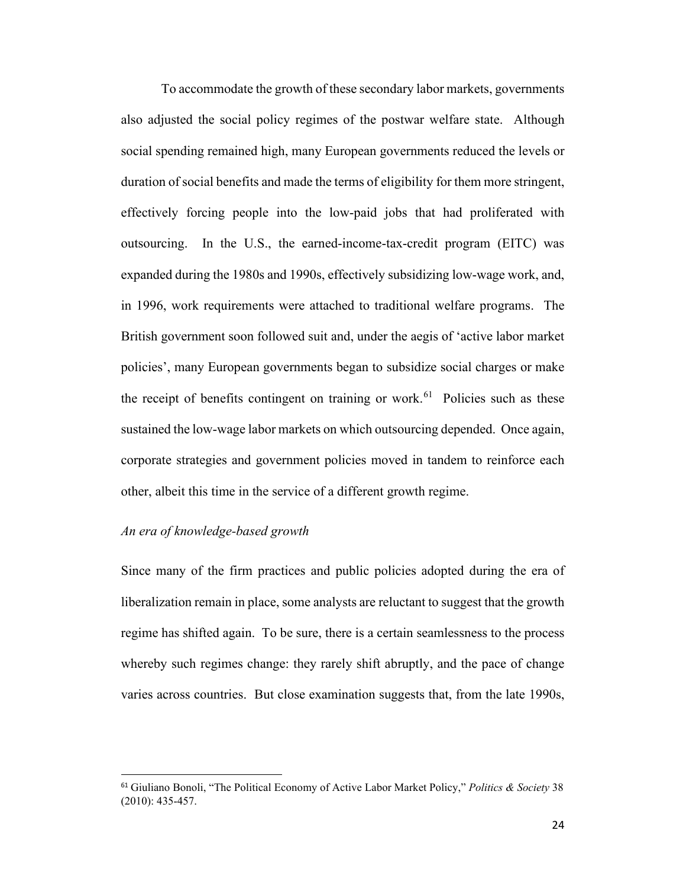To accommodate the growth of these secondary labor markets, governments also adjusted the social policy regimes of the postwar welfare state. Although social spending remained high, many European governments reduced the levels or duration of social benefits and made the terms of eligibility for them more stringent, effectively forcing people into the low-paid jobs that had proliferated with outsourcing. In the U.S., the earned-income-tax-credit program (EITC) was expanded during the 1980s and 1990s, effectively subsidizing low-wage work, and, in 1996, work requirements were attached to traditional welfare programs. The British government soon followed suit and, under the aegis of 'active labor market policies', many European governments began to subsidize social charges or make the receipt of benefits contingent on training or work. [61](#page-23-0) Policies such as these sustained the low-wage labor markets on which outsourcing depended. Once again, corporate strategies and government policies moved in tandem to reinforce each other, albeit this time in the service of a different growth regime.

## *An era of knowledge-based growth*

Since many of the firm practices and public policies adopted during the era of liberalization remain in place, some analysts are reluctant to suggest that the growth regime has shifted again. To be sure, there is a certain seamlessness to the process whereby such regimes change: they rarely shift abruptly, and the pace of change varies across countries. But close examination suggests that, from the late 1990s,

<span id="page-23-0"></span><sup>61</sup> Giuliano Bonoli, "The Political Economy of Active Labor Market Policy," *Politics & Society* 38 (2010): 435-457.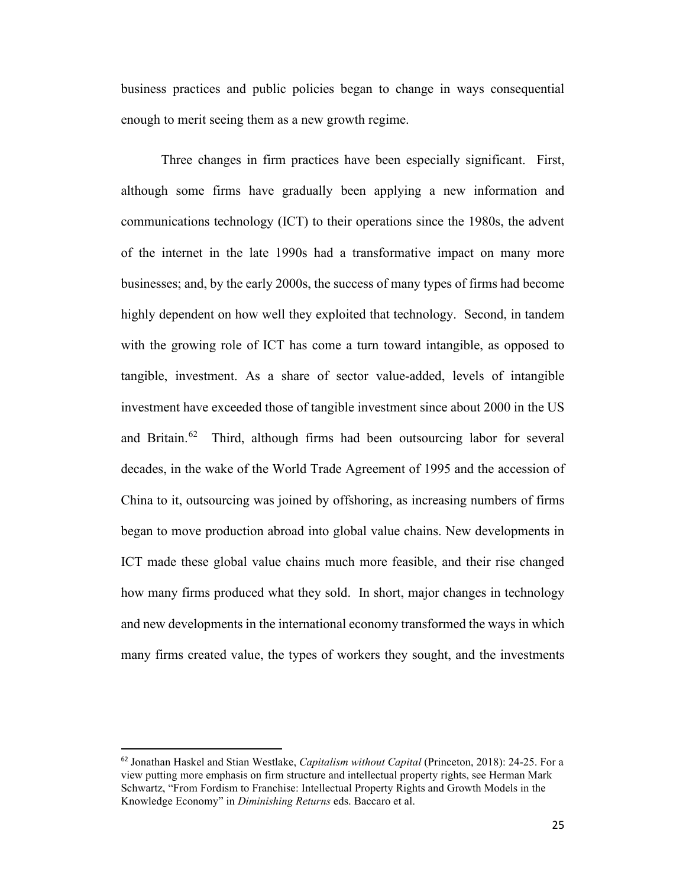business practices and public policies began to change in ways consequential enough to merit seeing them as a new growth regime.

Three changes in firm practices have been especially significant. First, although some firms have gradually been applying a new information and communications technology (ICT) to their operations since the 1980s, the advent of the internet in the late 1990s had a transformative impact on many more businesses; and, by the early 2000s, the success of many types of firms had become highly dependent on how well they exploited that technology. Second, in tandem with the growing role of ICT has come a turn toward intangible, as opposed to tangible, investment. As a share of sector value-added, levels of intangible investment have exceeded those of tangible investment since about 2000 in the US and Britain.<sup>62</sup> Third, although firms had been outsourcing labor for several decades, in the wake of the World Trade Agreement of 1995 and the accession of China to it, outsourcing was joined by offshoring, as increasing numbers of firms began to move production abroad into global value chains. New developments in ICT made these global value chains much more feasible, and their rise changed how many firms produced what they sold. In short, major changes in technology and new developments in the international economy transformed the ways in which many firms created value, the types of workers they sought, and the investments

<span id="page-24-0"></span><sup>62</sup> Jonathan Haskel and Stian Westlake, *Capitalism without Capital* (Princeton, 2018): 24-25. For a view putting more emphasis on firm structure and intellectual property rights, see Herman Mark Schwartz, "From Fordism to Franchise: Intellectual Property Rights and Growth Models in the Knowledge Economy" in *Diminishing Returns* eds. Baccaro et al.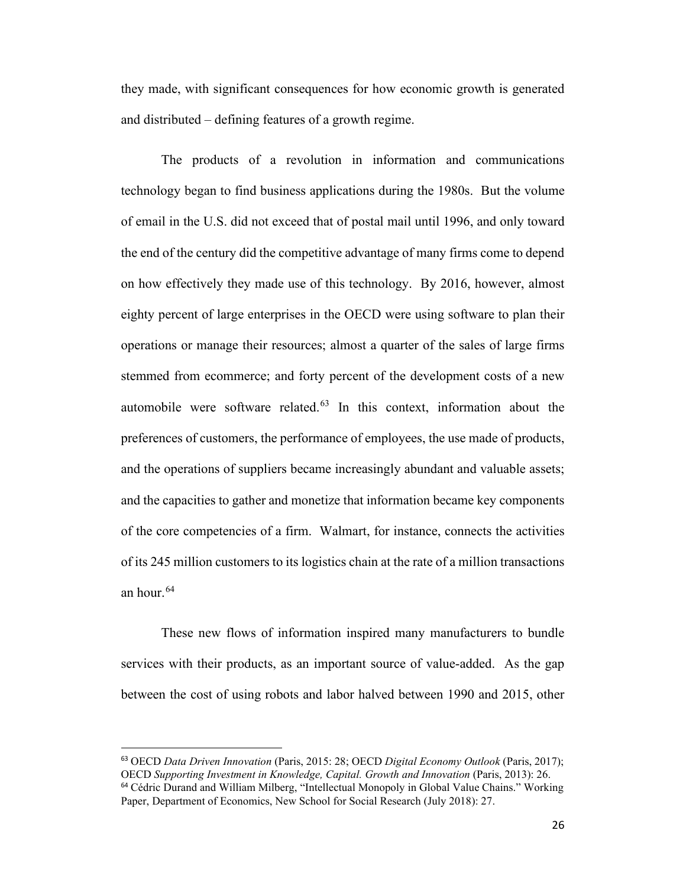they made, with significant consequences for how economic growth is generated and distributed – defining features of a growth regime.

The products of a revolution in information and communications technology began to find business applications during the 1980s. But the volume of email in the U.S. did not exceed that of postal mail until 1996, and only toward the end of the century did the competitive advantage of many firms come to depend on how effectively they made use of this technology. By 2016, however, almost eighty percent of large enterprises in the OECD were using software to plan their operations or manage their resources; almost a quarter of the sales of large firms stemmed from ecommerce; and forty percent of the development costs of a new automobile were software related. $63$  In this context, information about the preferences of customers, the performance of employees, the use made of products, and the operations of suppliers became increasingly abundant and valuable assets; and the capacities to gather and monetize that information became key components of the core competencies of a firm. Walmart, for instance, connects the activities of its 245 million customers to its logistics chain at the rate of a million transactions an hour.  $64$ 

These new flows of information inspired many manufacturers to bundle services with their products, as an important source of value-added. As the gap between the cost of using robots and labor halved between 1990 and 2015, other

<span id="page-25-1"></span><span id="page-25-0"></span><sup>63</sup> OECD *Data Driven Innovation* (Paris, 2015: 28; OECD *Digital Economy Outlook* (Paris, 2017); OECD *Supporting Investment in Knowledge, Capital. Growth and Innovation* (Paris, 2013): 26. <sup>64</sup> Cédric Durand and William Milberg, "Intellectual Monopoly in Global Value Chains." Working Paper, Department of Economics, New School for Social Research (July 2018): 27.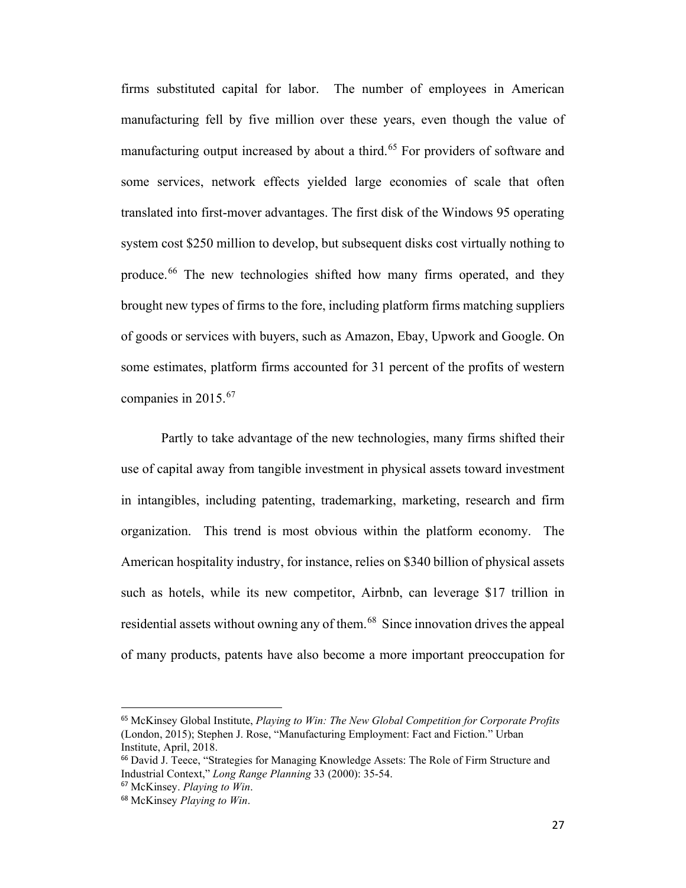firms substituted capital for labor. The number of employees in American manufacturing fell by five million over these years, even though the value of manufacturing output increased by about a third.<sup>[65](#page-26-0)</sup> For providers of software and some services, network effects yielded large economies of scale that often translated into first-mover advantages. The first disk of the Windows 95 operating system cost \$250 million to develop, but subsequent disks cost virtually nothing to produce.<sup>[66](#page-26-1)</sup> The new technologies shifted how many firms operated, and they brought new types of firms to the fore, including platform firms matching suppliers of goods or services with buyers, such as Amazon, Ebay, Upwork and Google. On some estimates, platform firms accounted for 31 percent of the profits of western companies in 2015.[67](#page-26-2)

Partly to take advantage of the new technologies, many firms shifted their use of capital away from tangible investment in physical assets toward investment in intangibles, including patenting, trademarking, marketing, research and firm organization. This trend is most obvious within the platform economy. The American hospitality industry, for instance, relies on \$340 billion of physical assets such as hotels, while its new competitor, Airbnb, can leverage \$17 trillion in residential assets without owning any of them.<sup>[68](#page-26-3)</sup> Since innovation drives the appeal of many products, patents have also become a more important preoccupation for

<span id="page-26-0"></span><sup>65</sup> McKinsey Global Institute, *Playing to Win: The New Global Competition for Corporate Profits* (London, 2015); Stephen J. Rose, "Manufacturing Employment: Fact and Fiction." Urban Institute, April, 2018.

<span id="page-26-1"></span><sup>66</sup> David J. Teece, "Strategies for Managing Knowledge Assets: The Role of Firm Structure and Industrial Context," *Long Range Planning* 33 (2000): 35-54.

<span id="page-26-2"></span><sup>67</sup> McKinsey. *Playing to Win*.

<span id="page-26-3"></span><sup>68</sup> McKinsey *Playing to Win*.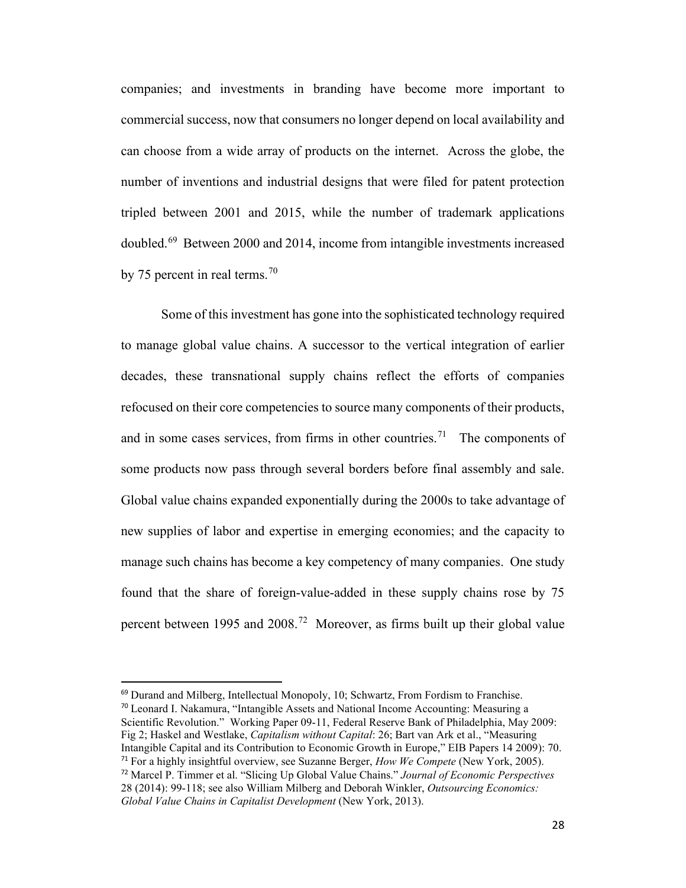companies; and investments in branding have become more important to commercial success, now that consumers no longer depend on local availability and can choose from a wide array of products on the internet. Across the globe, the number of inventions and industrial designs that were filed for patent protection tripled between 2001 and 2015, while the number of trademark applications doubled.[69](#page-27-0) Between 2000 and 2014, income from intangible investments increased by 75 percent in real terms.<sup>[70](#page-27-1)</sup>

Some of this investment has gone into the sophisticated technology required to manage global value chains. A successor to the vertical integration of earlier decades, these transnational supply chains reflect the efforts of companies refocused on their core competencies to source many components of their products, and in some cases services, from firms in other countries.<sup>71</sup> The components of some products now pass through several borders before final assembly and sale. Global value chains expanded exponentially during the 2000s to take advantage of new supplies of labor and expertise in emerging economies; and the capacity to manage such chains has become a key competency of many companies. One study found that the share of foreign-value-added in these supply chains rose by 75 percent between 1995 and 2008.[72](#page-27-3) Moreover, as firms built up their global value

<span id="page-27-3"></span><span id="page-27-2"></span><span id="page-27-1"></span><span id="page-27-0"></span><sup>69</sup> Durand and Milberg, Intellectual Monopoly, 10; Schwartz, From Fordism to Franchise. <sup>70</sup> Leonard I. Nakamura, "Intangible Assets and National Income Accounting: Measuring a Scientific Revolution." Working Paper 09-11, Federal Reserve Bank of Philadelphia, May 2009: Fig 2; Haskel and Westlake, *Capitalism without Capital*: 26; Bart van Ark et al., "Measuring Intangible Capital and its Contribution to Economic Growth in Europe," EIB Papers 14 2009): 70. <sup>71</sup> For a highly insightful overview, see Suzanne Berger, *How We Compete* (New York, 2005). <sup>72</sup> Marcel P. Timmer et al. "Slicing Up Global Value Chains." *Journal of Economic Perspectives* 28 (2014): 99-118; see also William Milberg and Deborah Winkler, *Outsourcing Economics: Global Value Chains in Capitalist Development* (New York, 2013).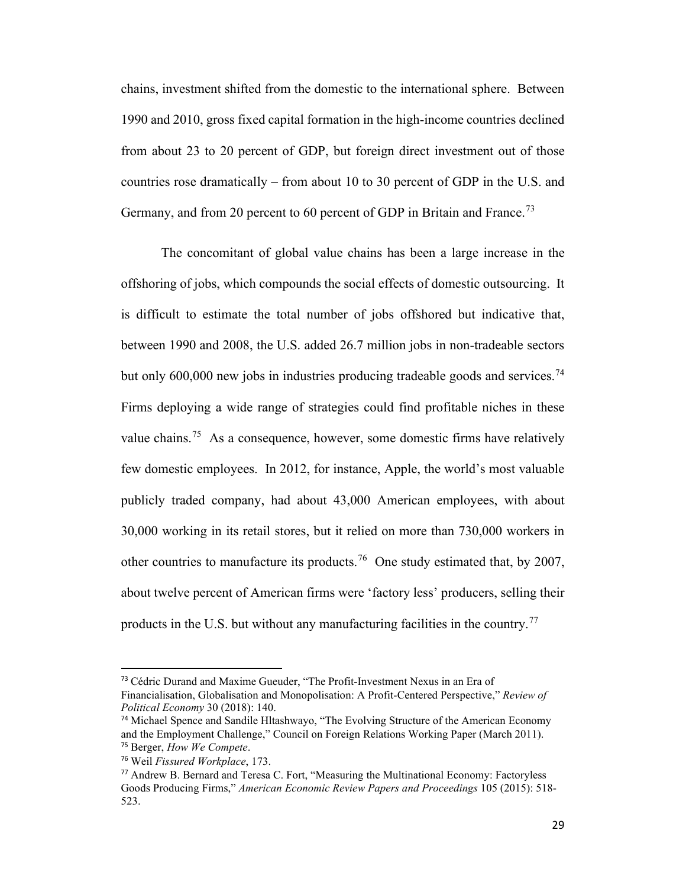chains, investment shifted from the domestic to the international sphere. Between 1990 and 2010, gross fixed capital formation in the high-income countries declined from about 23 to 20 percent of GDP, but foreign direct investment out of those countries rose dramatically – from about 10 to 30 percent of GDP in the U.S. and Germany, and from 20 percent to 60 percent of GDP in Britain and France.<sup>[73](#page-28-0)</sup>

The concomitant of global value chains has been a large increase in the offshoring of jobs, which compounds the social effects of domestic outsourcing. It is difficult to estimate the total number of jobs offshored but indicative that, between 1990 and 2008, the U.S. added 26.7 million jobs in non-tradeable sectors but only 600,000 new jobs in industries producing tradeable goods and services.<sup>[74](#page-28-1)</sup> Firms deploying a wide range of strategies could find profitable niches in these value chains.<sup>75</sup> As a consequence, however, some domestic firms have relatively few domestic employees. In 2012, for instance, Apple, the world's most valuable publicly traded company, had about 43,000 American employees, with about 30,000 working in its retail stores, but it relied on more than 730,000 workers in other countries to manufacture its products.<sup>76</sup> One study estimated that, by 2007, about twelve percent of American firms were 'factory less' producers, selling their products in the U.S. but without any manufacturing facilities in the country.<sup>[77](#page-28-4)</sup>

<span id="page-28-0"></span><sup>&</sup>lt;sup>73</sup> Cédric Durand and Maxime Gueuder, "The Profit-Investment Nexus in an Era of Financialisation, Globalisation and Monopolisation: A Profit-Centered Perspective," *Review of Political Economy* 30 (2018): 140.

<span id="page-28-1"></span><sup>74</sup> Michael Spence and Sandile Hltashwayo, "The Evolving Structure of the American Economy and the Employment Challenge," Council on Foreign Relations Working Paper (March 2011). <sup>75</sup> Berger, *How We Compete*.

<span id="page-28-3"></span><span id="page-28-2"></span><sup>76</sup> Weil *Fissured Workplace*, 173.

<span id="page-28-4"></span><sup>77</sup> Andrew B. Bernard and Teresa C. Fort, "Measuring the Multinational Economy: Factoryless Goods Producing Firms," *American Economic Review Papers and Proceedings* 105 (2015): 518- 523.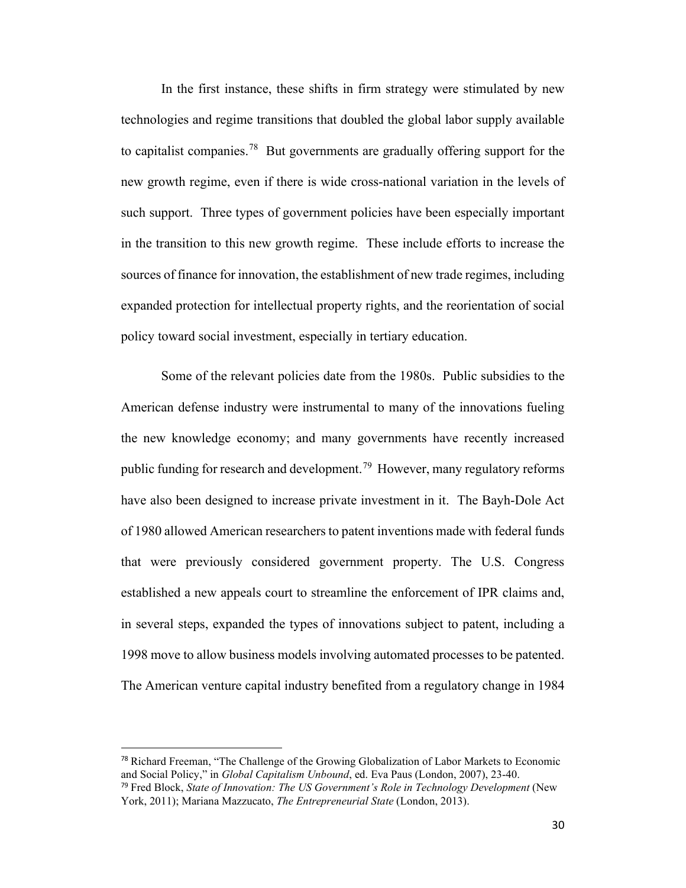In the first instance, these shifts in firm strategy were stimulated by new technologies and regime transitions that doubled the global labor supply available to capitalist companies.<sup>78</sup> But governments are gradually offering support for the new growth regime, even if there is wide cross-national variation in the levels of such support. Three types of government policies have been especially important in the transition to this new growth regime. These include efforts to increase the sources of finance for innovation, the establishment of new trade regimes, including expanded protection for intellectual property rights, and the reorientation of social policy toward social investment, especially in tertiary education.

Some of the relevant policies date from the 1980s. Public subsidies to the American defense industry were instrumental to many of the innovations fueling the new knowledge economy; and many governments have recently increased public funding for research and development.<sup>[79](#page-29-1)</sup> However, many regulatory reforms have also been designed to increase private investment in it. The Bayh-Dole Act of 1980 allowed American researchers to patent inventions made with federal funds that were previously considered government property. The U.S. Congress established a new appeals court to streamline the enforcement of IPR claims and, in several steps, expanded the types of innovations subject to patent, including a 1998 move to allow business models involving automated processes to be patented. The American venture capital industry benefited from a regulatory change in 1984

<span id="page-29-0"></span><sup>78</sup> Richard Freeman, "The Challenge of the Growing Globalization of Labor Markets to Economic and Social Policy," in *Global Capitalism Unbound*, ed. Eva Paus (London, 2007), 23-40.

<span id="page-29-1"></span><sup>79</sup> Fred Block, *State of Innovation: The US Government's Role in Technology Development* (New York, 2011); Mariana Mazzucato, *The Entrepreneurial State* (London, 2013).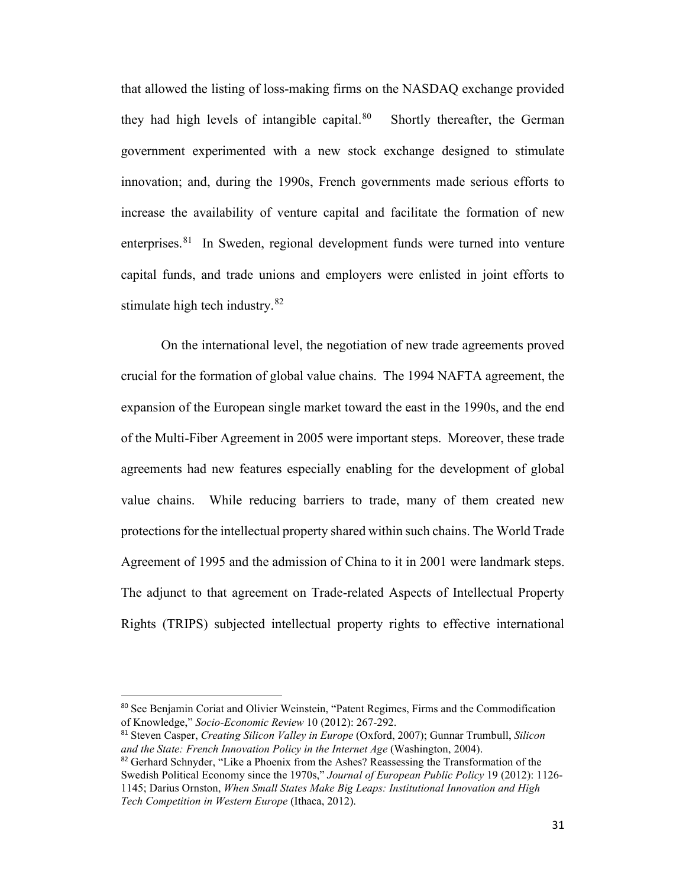that allowed the listing of loss-making firms on the NASDAQ exchange provided they had high levels of intangible capital.<sup>[80](#page-30-0)</sup> Shortly thereafter, the German government experimented with a new stock exchange designed to stimulate innovation; and, during the 1990s, French governments made serious efforts to increase the availability of venture capital and facilitate the formation of new enterprises.<sup>81</sup> In Sweden, regional development funds were turned into venture capital funds, and trade unions and employers were enlisted in joint efforts to stimulate high tech industry.<sup>[82](#page-30-2)</sup>

On the international level, the negotiation of new trade agreements proved crucial for the formation of global value chains. The 1994 NAFTA agreement, the expansion of the European single market toward the east in the 1990s, and the end of the Multi-Fiber Agreement in 2005 were important steps. Moreover, these trade agreements had new features especially enabling for the development of global value chains. While reducing barriers to trade, many of them created new protections for the intellectual property shared within such chains. The World Trade Agreement of 1995 and the admission of China to it in 2001 were landmark steps. The adjunct to that agreement on Trade-related Aspects of Intellectual Property Rights (TRIPS) subjected intellectual property rights to effective international

<span id="page-30-0"></span><sup>80</sup> See Benjamin Coriat and Olivier Weinstein, "Patent Regimes, Firms and the Commodification of Knowledge," *Socio-Economic Review* 10 (2012): 267-292.

<span id="page-30-1"></span><sup>81</sup> Steven Casper, *Creating Silicon Valley in Europe* (Oxford, 2007); Gunnar Trumbull, *Silicon and the State: French Innovation Policy in the Internet Age* (Washington, 2004).

<span id="page-30-2"></span><sup>&</sup>lt;sup>82</sup> Gerhard Schnyder, "Like a Phoenix from the Ashes? Reassessing the Transformation of the Swedish Political Economy since the 1970s," *Journal of European Public Policy* 19 (2012): 1126- 1145; Darius Ornston, *When Small States Make Big Leaps: Institutional Innovation and High Tech Competition in Western Europe* (Ithaca, 2012).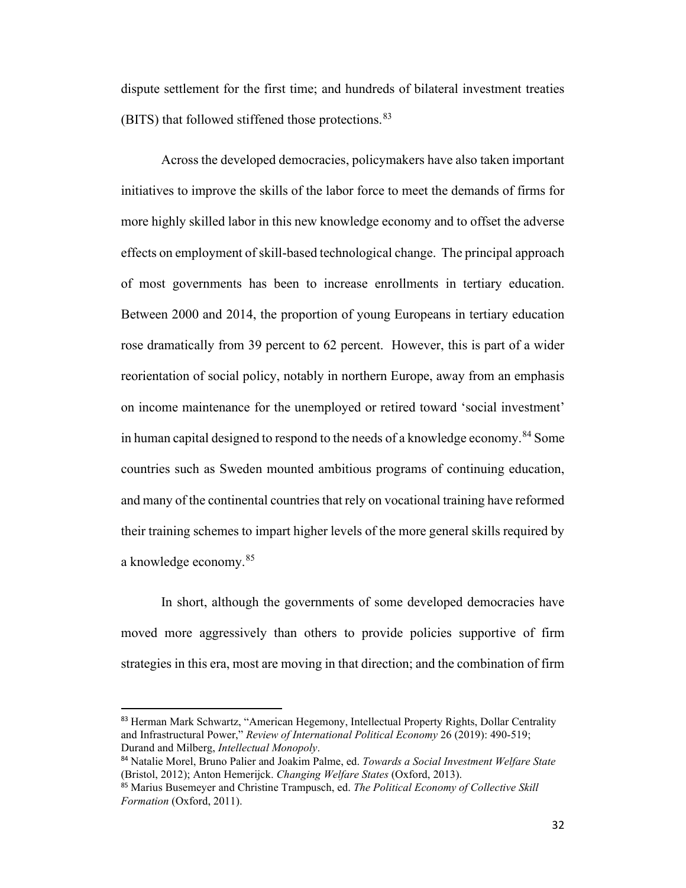dispute settlement for the first time; and hundreds of bilateral investment treaties (BITS) that followed stiffened those protections. [83](#page-31-0)

Across the developed democracies, policymakers have also taken important initiatives to improve the skills of the labor force to meet the demands of firms for more highly skilled labor in this new knowledge economy and to offset the adverse effects on employment of skill-based technological change. The principal approach of most governments has been to increase enrollments in tertiary education. Between 2000 and 2014, the proportion of young Europeans in tertiary education rose dramatically from 39 percent to 62 percent. However, this is part of a wider reorientation of social policy, notably in northern Europe, away from an emphasis on income maintenance for the unemployed or retired toward 'social investment' in human capital designed to respond to the needs of a knowledge economy.<sup>[84](#page-31-1)</sup> Some countries such as Sweden mounted ambitious programs of continuing education, and many of the continental countriesthat rely on vocational training have reformed their training schemes to impart higher levels of the more general skills required by a knowledge economy. [85](#page-31-2)

In short, although the governments of some developed democracies have moved more aggressively than others to provide policies supportive of firm strategies in this era, most are moving in that direction; and the combination of firm

<span id="page-31-0"></span><sup>83</sup> Herman Mark Schwartz, "American Hegemony, Intellectual Property Rights, Dollar Centrality and Infrastructural Power," *Review of International Political Economy* 26 (2019): 490-519; Durand and Milberg, *Intellectual Monopoly*.

<span id="page-31-1"></span><sup>84</sup> Natalie Morel, Bruno Palier and Joakim Palme, ed. *Towards a Social Investment Welfare State* (Bristol, 2012); Anton Hemerijck. *Changing Welfare States* (Oxford, 2013).

<span id="page-31-2"></span><sup>85</sup> Marius Busemeyer and Christine Trampusch, ed. *The Political Economy of Collective Skill Formation* (Oxford, 2011).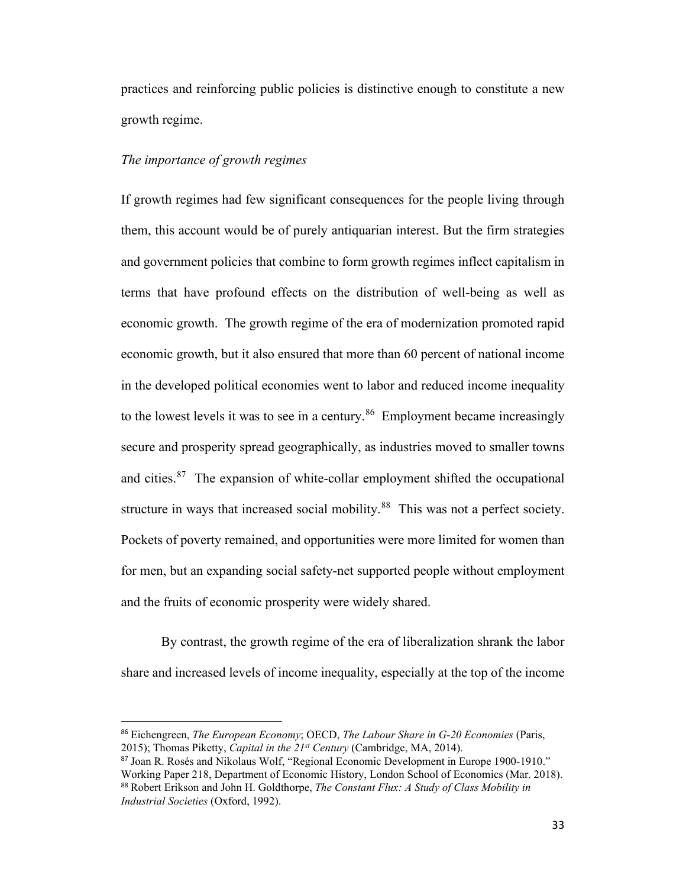practices and reinforcing public policies is distinctive enough to constitute a new growth regime.

# *The importance of growth regimes*

If growth regimes had few significant consequences for the people living through them, this account would be of purely antiquarian interest. But the firm strategies and government policies that combine to form growth regimes inflect capitalism in terms that have profound effects on the distribution of well-being as well as economic growth. The growth regime of the era of modernization promoted rapid economic growth, but it also ensured that more than 60 percent of national income in the developed political economies went to labor and reduced income inequality to the lowest levels it was to see in a century.<sup>86</sup> Employment became increasingly secure and prosperity spread geographically, as industries moved to smaller towns and cities. $87$  The expansion of white-collar employment shifted the occupational structure in ways that increased social mobility.<sup>88</sup> This was not a perfect society. Pockets of poverty remained, and opportunities were more limited for women than for men, but an expanding social safety-net supported people without employment and the fruits of economic prosperity were widely shared.

By contrast, the growth regime of the era of liberalization shrank the labor share and increased levels of income inequality, especially at the top of the income

<span id="page-32-0"></span><sup>86</sup> Eichengreen, *The European Economy*; OECD, *The Labour Share in G-20 Economies* (Paris, 2015); Thomas Piketty, *Capital in the 21st Century* (Cambridge, MA, 2014).

<span id="page-32-2"></span><span id="page-32-1"></span><sup>87</sup> Joan R. Rosés and Nikolaus Wolf, "Regional Economic Development in Europe 1900-1910." Working Paper 218, Department of Economic History, London School of Economics (Mar. 2018). <sup>88</sup> Robert Erikson and John H. Goldthorpe, *The Constant Flux: A Study of Class Mobility in Industrial Societies* (Oxford, 1992).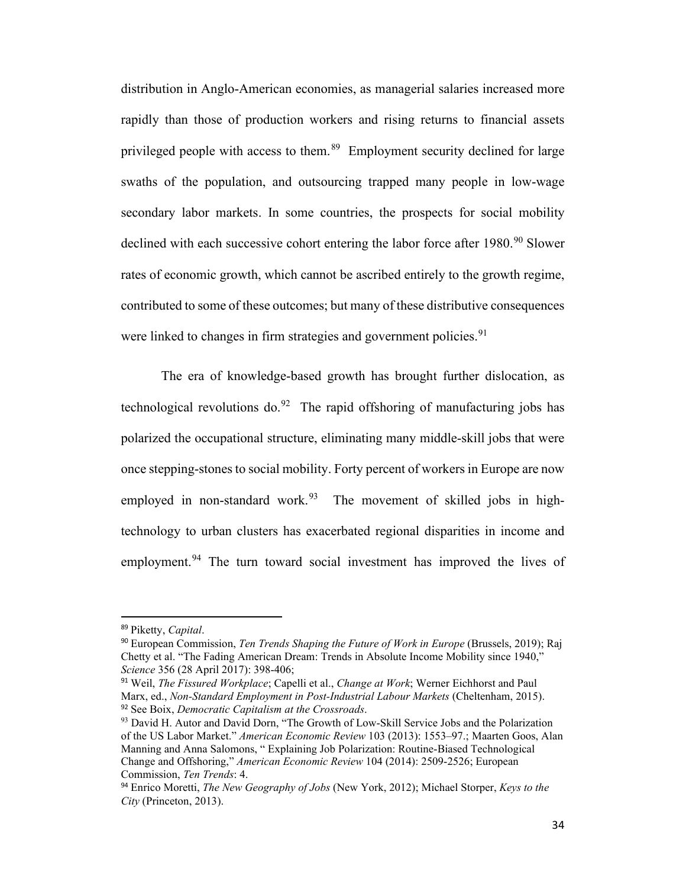distribution in Anglo-American economies, as managerial salaries increased more rapidly than those of production workers and rising returns to financial assets privileged people with access to them.<sup>89</sup> Employment security declined for large swaths of the population, and outsourcing trapped many people in low-wage secondary labor markets. In some countries, the prospects for social mobility declined with each successive cohort entering the labor force after  $1980.^{90}$  $1980.^{90}$  $1980.^{90}$  Slower rates of economic growth, which cannot be ascribed entirely to the growth regime, contributed to some of these outcomes; but many of these distributive consequences were linked to changes in firm strategies and government policies.<sup>[91](#page-33-2)</sup>

The era of knowledge-based growth has brought further dislocation, as technological revolutions do.<sup>[92](#page-33-3)</sup> The rapid offshoring of manufacturing jobs has polarized the occupational structure, eliminating many middle-skill jobs that were once stepping-stones to social mobility. Forty percent of workers in Europe are now employed in non-standard work.<sup>[93](#page-33-4)</sup> The movement of skilled jobs in hightechnology to urban clusters has exacerbated regional disparities in income and employment.<sup>[94](#page-33-5)</sup> The turn toward social investment has improved the lives of

<span id="page-33-0"></span><sup>89</sup> Piketty, *Capital*.

<span id="page-33-1"></span><sup>90</sup> European Commission, *Ten Trends Shaping the Future of Work in Europe* (Brussels, 2019); Raj Chetty et al. "The Fading American Dream: Trends in Absolute Income Mobility since 1940," *Science* 356 (28 April 2017): 398-406;

<span id="page-33-2"></span><sup>91</sup> Weil, *The Fissured Workplace*; Capelli et al., *Change at Work*; Werner Eichhorst and Paul Marx, ed., *Non-Standard Employment in Post-Industrial Labour Markets* (Cheltenham, 2015). <sup>92</sup> See Boix, *Democratic Capitalism at the Crossroads*.

<span id="page-33-4"></span><span id="page-33-3"></span><sup>&</sup>lt;sup>93</sup> David H. Autor and David Dorn, "The Growth of Low-Skill Service Jobs and the Polarization of the US Labor Market." *American Economic Review* 103 (2013): 1553–97.; Maarten Goos, Alan Manning and Anna Salomons, " Explaining Job Polarization: Routine-Biased Technological Change and Offshoring," *American Economic Review* 104 (2014): 2509-2526; European Commission, *Ten Trends*: 4.

<span id="page-33-5"></span><sup>94</sup> Enrico Moretti, *The New Geography of Jobs* (New York, 2012); Michael Storper, *Keys to the City* (Princeton, 2013).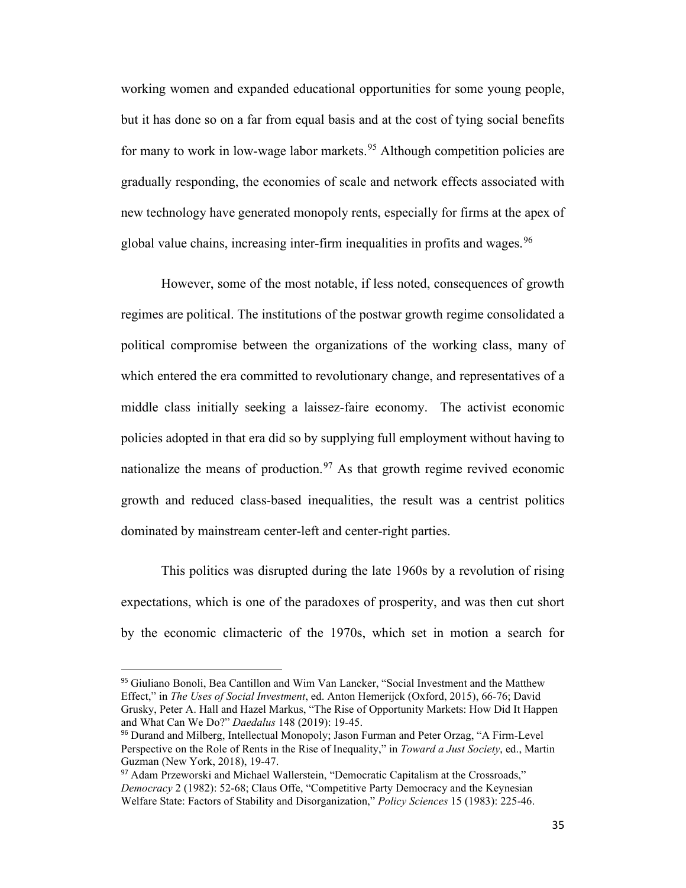working women and expanded educational opportunities for some young people, but it has done so on a far from equal basis and at the cost of tying social benefits for many to work in low-wage labor markets.<sup>[95](#page-34-0)</sup> Although competition policies are gradually responding, the economies of scale and network effects associated with new technology have generated monopoly rents, especially for firms at the apex of global value chains, increasing inter-firm inequalities in profits and wages.<sup>[96](#page-34-1)</sup>

However, some of the most notable, if less noted, consequences of growth regimes are political. The institutions of the postwar growth regime consolidated a political compromise between the organizations of the working class, many of which entered the era committed to revolutionary change, and representatives of a middle class initially seeking a laissez-faire economy. The activist economic policies adopted in that era did so by supplying full employment without having to nationalize the means of production.<sup>[97](#page-34-2)</sup> As that growth regime revived economic growth and reduced class-based inequalities, the result was a centrist politics dominated by mainstream center-left and center-right parties.

This politics was disrupted during the late 1960s by a revolution of rising expectations, which is one of the paradoxes of prosperity, and was then cut short by the economic climacteric of the 1970s, which set in motion a search for

<span id="page-34-0"></span><sup>95</sup> Giuliano Bonoli, Bea Cantillon and Wim Van Lancker, "Social Investment and the Matthew Effect," in *The Uses of Social Investment*, ed. Anton Hemerijck (Oxford, 2015), 66-76; David Grusky, Peter A. Hall and Hazel Markus, "The Rise of Opportunity Markets: How Did It Happen and What Can We Do?" *Daedalus* 148 (2019): 19-45.

<span id="page-34-1"></span><sup>96</sup> Durand and Milberg, Intellectual Monopoly; Jason Furman and Peter Orzag, "A Firm-Level Perspective on the Role of Rents in the Rise of Inequality," in *Toward a Just Society*, ed., Martin Guzman (New York, 2018), 19-47.

<span id="page-34-2"></span><sup>97</sup> Adam Przeworski and Michael Wallerstein, "Democratic Capitalism at the Crossroads," *Democracy* 2 (1982): 52-68; Claus Offe, "Competitive Party Democracy and the Keynesian Welfare State: Factors of Stability and Disorganization," *Policy Sciences* 15 (1983): 225-46.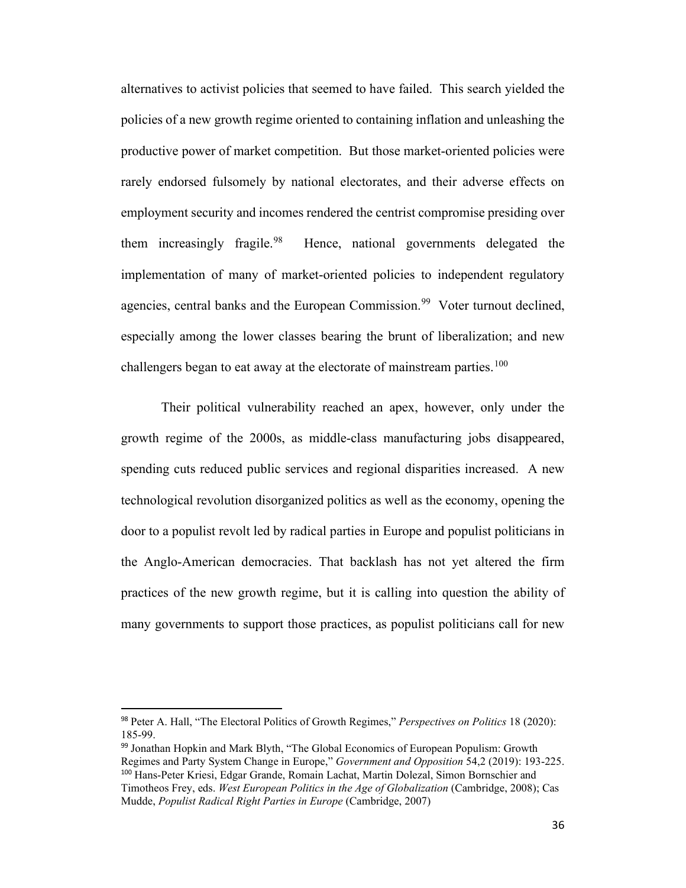alternatives to activist policies that seemed to have failed. This search yielded the policies of a new growth regime oriented to containing inflation and unleashing the productive power of market competition. But those market-oriented policies were rarely endorsed fulsomely by national electorates, and their adverse effects on employment security and incomes rendered the centrist compromise presiding over them increasingly fragile.  $98$ Hence, national governments delegated the implementation of many of market-oriented policies to independent regulatory agencies, central banks and the European Commission.<sup>[99](#page-35-1)</sup> Voter turnout declined, especially among the lower classes bearing the brunt of liberalization; and new challengers began to eat away at the electorate of mainstream parties.<sup>[100](#page-35-2)</sup>

Their political vulnerability reached an apex, however, only under the growth regime of the 2000s, as middle-class manufacturing jobs disappeared, spending cuts reduced public services and regional disparities increased. A new technological revolution disorganized politics as well as the economy, opening the door to a populist revolt led by radical parties in Europe and populist politicians in the Anglo-American democracies. That backlash has not yet altered the firm practices of the new growth regime, but it is calling into question the ability of many governments to support those practices, as populist politicians call for new

<span id="page-35-0"></span><sup>98</sup> Peter A. Hall, "The Electoral Politics of Growth Regimes," *Perspectives on Politics* 18 (2020): 185-99.

<span id="page-35-2"></span><span id="page-35-1"></span><sup>99</sup> Jonathan Hopkin and Mark Blyth, "The Global Economics of European Populism: Growth Regimes and Party System Change in Europe," *Government and Opposition* 54,2 (2019): 193-225. <sup>100</sup> Hans-Peter Kriesi, Edgar Grande, Romain Lachat, Martin Dolezal, Simon Bornschier and Timotheos Frey, eds. *West European Politics in the Age of Globalization* (Cambridge, 2008); Cas Mudde, *Populist Radical Right Parties in Europe* (Cambridge, 2007)